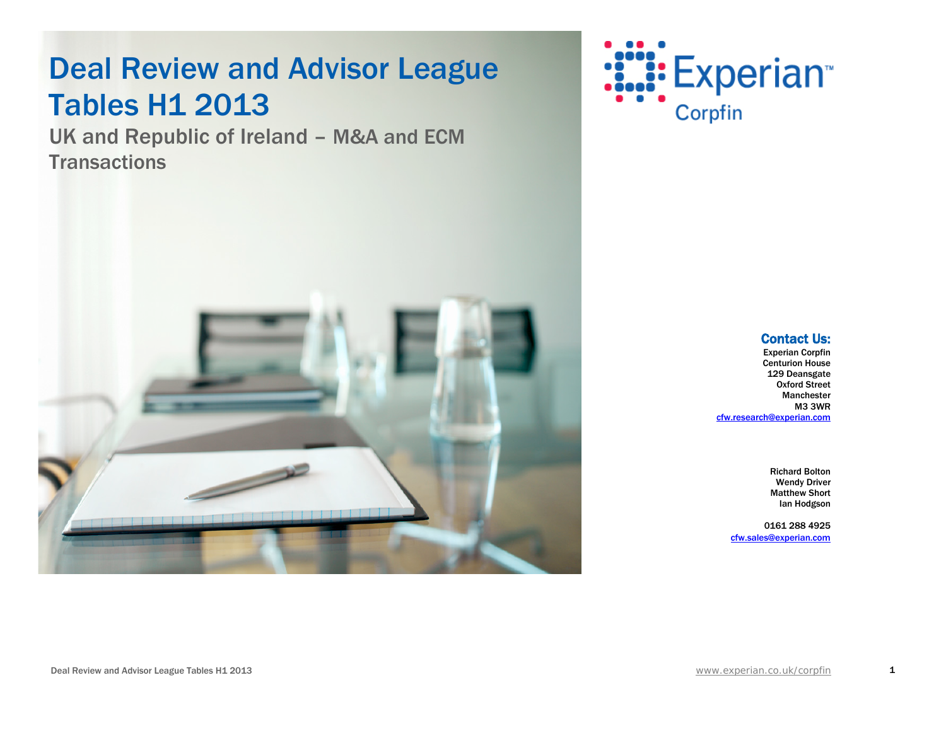## **Deal Review and Advisor League** Tables H1 2013

UK and Republic of Ireland – M&A and ECM **Transactions** 





### **Contact Us:**<br>Experian Corpfin

Centurion House 129 Deansgate Oxford Street Manchester M3 3WR [cfw.research@experian.com](mailto:cfw.research@experian.com) 

> Richard Bolton Wendy Driver Matthew Short Ian Hodgson

0161 288 4925 [cfw.sales@experian.com](mailto:cfw.sales@experian.com)

1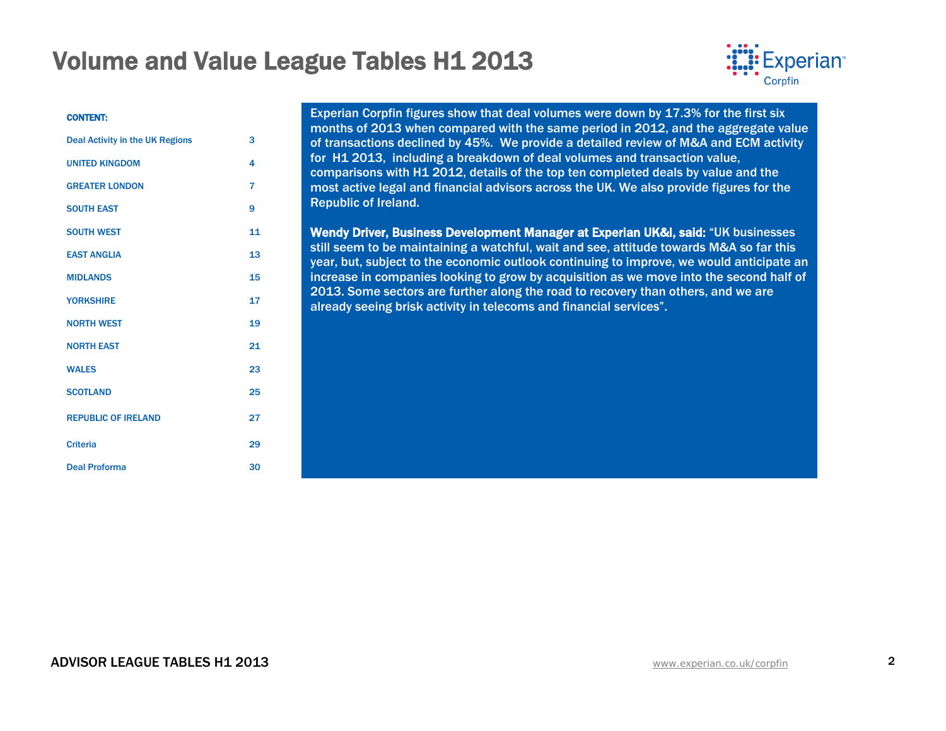

#### CONTENT:

| <b>Deal Activity in the UK Regions</b> | 3                       |
|----------------------------------------|-------------------------|
| <b>UNITED KINGDOM</b>                  | $\overline{\mathbf{4}}$ |
| <b>GREATER LONDON</b>                  | $\overline{7}$          |
| <b>SOUTH EAST</b>                      | 9                       |
| <b>SOUTH WEST</b>                      | 11                      |
| <b>EAST ANGLIA</b>                     | 13                      |
| <b>MIDLANDS</b>                        | 15                      |
| <b>YORKSHIRE</b>                       | 17                      |
| <b>NORTH WEST</b>                      | 19                      |
| <b>NORTH EAST</b>                      | 21                      |
| <b>WALES</b>                           | 23                      |
| <b>SCOTLAND</b>                        | 25                      |
| <b>REPUBLIC OF IRELAND</b>             | 27                      |
| <b>Criteria</b>                        | 29                      |
| <b>Deal Proforma</b>                   | 30                      |

Experian Corpfin figures show that deal volumes were down by 17.3% for the first six months of 2013 when compared with the same period in 2012, and the aggregate value of transactions declined by 45%. We provide a detailed review of M&A and ECM activity for H1 2013, including a breakdown of deal volumes and transaction value, comparisons with H1 2012, details of the top ten completed deals by value and the most active legal and financial advisors across the UK. We also provide figures for the Republic of Ireland.

Wendy Driver, Business Development Manager at Experian UK&I, said: "UK businesses still seem to be maintaining a watchful, wait and see, attitude towards M&A so far this year, but, subject to the economic outlook continuing to improve, we would anticipate an increase in companies looking to grow by acquisition as we move into the second half of 2013. Some sectors are further along the road to recovery than others, and we are already seeing brisk activity in telecoms and financial services".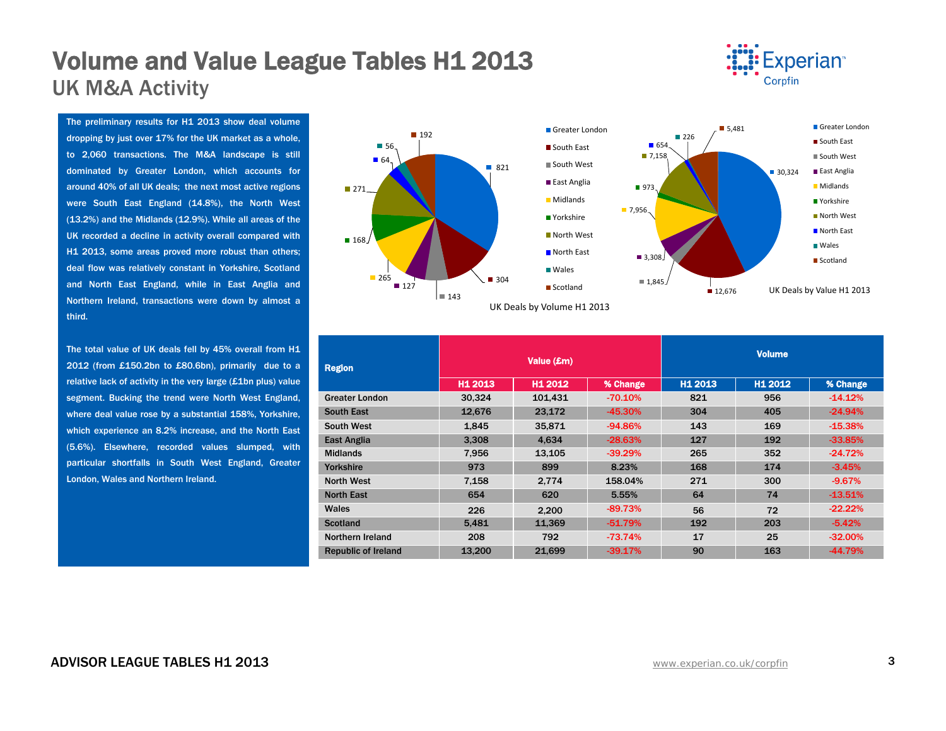## **Volume and Value League Tables H1 2013**<br>UK M&A Activity



The preliminary results for H1 2013 show deal volume dropping by just over 17% for the UK market as a whole, to 2,060 transactions. The M&A landscape is still dominated by Greater London, which accounts for around 40% of all UK deals; the next most active regions were South East England (14.8%), the North West (13.2%) and the Midlands (12.9%). While all areas of the UK recorded a decline in activity overall compared with H1 2013, some areas proved more robust than others; deal flow was relatively constant in Yorkshire, Scotland and North East England, while in East Anglia and Northern Ireland, transactions were down by almost a third.

The total value of UK deals fell by 45% overall from H1 2012 (from £150.2bn to £80.6bn), primarily due to a relative lack of activity in the very large (£1bn plus) value segment. Bucking the trend were North West England, where deal value rose by a substantial 158%, Yorkshire, which experience an 8.2% increase, and the North East (5.6%). Elsewhere, recorded values slumped, with particular shortfalls in South West England, Greater London, Wales and Northern Ireland.



| <b>Region</b>              |                     | Value (£m) |           | <b>Volume</b>       |         |           |  |
|----------------------------|---------------------|------------|-----------|---------------------|---------|-----------|--|
|                            | H <sub>1</sub> 2013 | H1 2012    | % Change  | H <sub>1</sub> 2013 | H1 2012 | % Change  |  |
| <b>Greater London</b>      | 30,324              | 101,431    | $-70.10%$ | 821                 | 956     | $-14.12%$ |  |
| <b>South East</b>          | 12,676              | 23,172     | $-45.30%$ | 304                 | 405     | $-24.94%$ |  |
| <b>South West</b>          | 1,845               | 35,871     | $-94.86%$ | 143                 | 169     | $-15.38%$ |  |
| East Anglia                | 3,308               | 4,634      | $-28.63%$ | 127                 | 192     | $-33.85%$ |  |
| <b>Midlands</b>            | 7.956               | 13,105     | $-39.29%$ | 265                 | 352     | $-24.72%$ |  |
| Yorkshire                  | 973                 | 899        | 8.23%     | 168                 | 174     | $-3.45%$  |  |
| <b>North West</b>          | 7,158               | 2.774      | 158.04%   | 271                 | 300     | $-9.67%$  |  |
| <b>North East</b>          | 654                 | 620        | 5.55%     | 64                  | 74      | $-13.51%$ |  |
| Wales                      | 226                 | 2.200      | $-89.73%$ | 56                  | 72      | $-22.22%$ |  |
| <b>Scotland</b>            | 5,481               | 11,369     | $-51.79%$ | 192                 | 203     | $-5.42%$  |  |
| Northern Ireland           | 208                 | 792        | $-73.74%$ | 17                  | 25      | $-32.00%$ |  |
| <b>Republic of Ireland</b> | 13,200              | 21.699     | $-39.17%$ | 90                  | 163     | $-44.79%$ |  |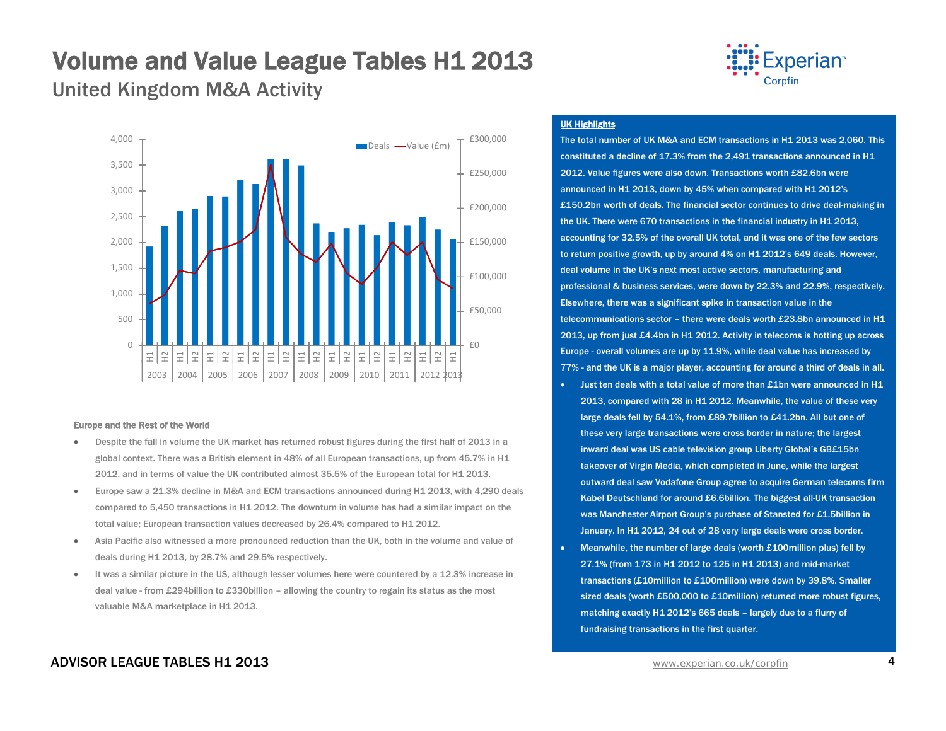United Kingdom M&A Activity



#### Europe and the Rest of the World

- Despite the fall in volume the UK market has returned robust figures during the first half of 2013 in a global context. There was a British element in 48% of all European transactions, up from 45.7% in H1 2012, and in terms of value the UK contributed almost 35.5% of the European total for H1 2013.
- Europe saw a 21.3% decline in M&A and ECM transactions announced during H1 2013, with 4,290 deals compared to 5,450 transactions in H1 2012. The downturn in volume has had a similar impact on the total value; European transaction values decreased by 26.4% compared to H1 2012.
- Asia Pacific also witnessed a more pronounced reduction than the UK, both in the volume and value of deals during H1 2013, by 28.7% and 29.5% respectively.
- It was a similar picture in the US, although lesser volumes here were countered by a 12.3% increase in deal value - from £294billion to £330billion – allowing the country to regain its status as the most valuable M&A marketplace in H1 2013.



#### UK Highlights

The total number of UK M&A and ECM transactions in H1 2013 was 2,060. This constituted a decline of 17.3% from the 2,491 transactions announced in H1 2012. Value figures were also down. Transactions worth £82.6bn were announced in H1 2013, down by 45% when compared with H1 2012's £150.2bn worth of deals. The financial sector continues to drive deal-making in the UK. There were 670 transactions in the financial industry in H1 2013, accounting for 32.5% of the overall UK total, and it was one of the few sectors to return positive growth, up by around 4% on H1 2012's 649 deals. However, deal volume in the UK's next most active sectors, manufacturing and professional & business services, were down by 22.3% and 22.9%, respectively. Elsewhere, there was a significant spike in transaction value in the telecommunications sector – there were deals worth £23.8bn announced in H1 2013, up from just £4.4bn in H1 2012. Activity in telecoms is hotting up across Europe - overall volumes are up by 11.9%, while deal value has increased by 77% - and the UK is a major player, accounting for around a third of deals in all.

- Just ten deals with a total value of more than £1bn were announced in H1 2013, compared with 28 in H1 2012. Meanwhile, the value of these very large deals fell by 54.1%, from £89.7billion to £41.2bn. All but one of these very large transactions were cross border in nature; the largest inward deal was US cable television group Liberty Global's GB£15bn takeover of Virgin Media, which completed in June, while the largest outward deal saw Vodafone Group agree to acquire German telecoms firm Kabel Deutschland for around £6.6billion. The biggest all-UK transaction was Manchester Airport Group's purchase of Stansted for £1.5billion in January. In H1 2012, 24 out of 28 very large deals were cross border.
- Meanwhile, the number of large deals (worth £100million plus) fell by 27.1% (from 173 in H1 2012 to 125 in H1 2013) and mid-market transactions (£10million to £100million) were down by 39.8%. Smaller sized deals (worth £500,000 to £10million) returned more robust figures, matching exactly H1 2012's 665 deals – largely due to a flurry of fundraising transactions in the first quarter.

#### ADVISOR LEAGUE TABLES H1 2013 www.experian.co[.uk/corpfin](http://www.experian.co.uk/corpfin) 4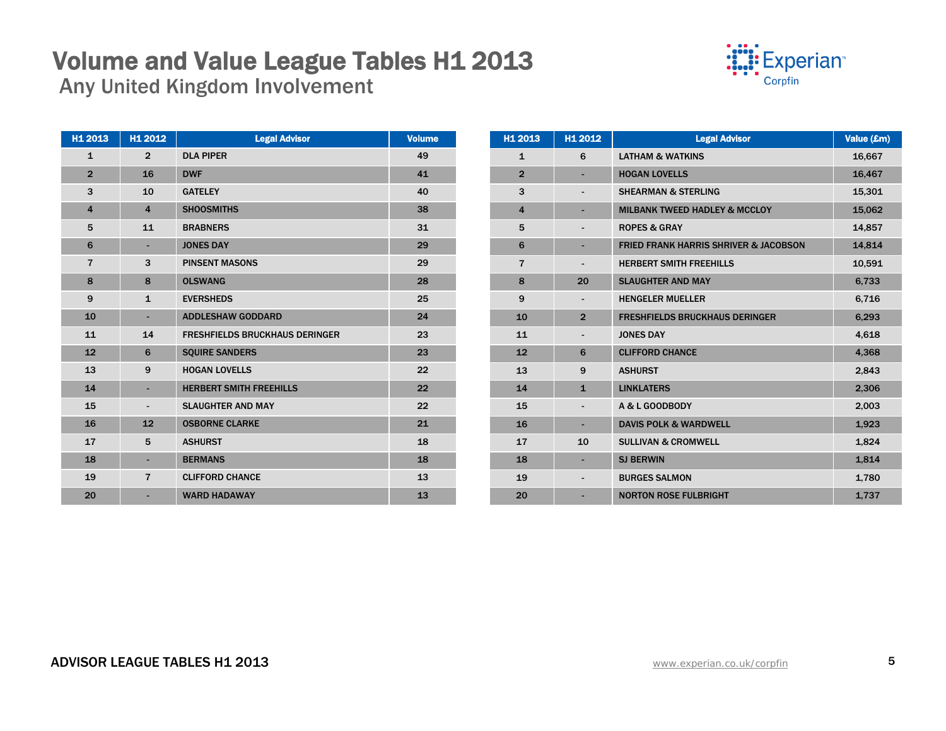## **Volume and Value League Tables H1 2013**<br>Any United Kingdom Involvement



| H1 2013        | H1 2012                  | <b>Legal Advisor</b>                  | Volume |
|----------------|--------------------------|---------------------------------------|--------|
| $\mathbf{1}$   | $\overline{2}$           | <b>DLA PIPER</b>                      | 49     |
| $\overline{2}$ | 16                       | <b>DWF</b>                            | 41     |
| 3              | 10                       | <b>GATELEY</b>                        | 40     |
| $\overline{4}$ | $\overline{\mathbf{4}}$  | <b>SHOOSMITHS</b>                     | 38     |
| 5              | 11                       | <b>BRABNERS</b>                       | 31     |
| 6              | ٠                        | <b>JONES DAY</b>                      | 29     |
| $\overline{7}$ | 3                        | <b>PINSENT MASONS</b>                 | 29     |
| 8              | 8                        | <b>OLSWANG</b>                        | 28     |
| 9              | $\mathbf{1}$             | <b>EVERSHEDS</b>                      | 25     |
| 10             | ٠                        | <b>ADDLESHAW GODDARD</b>              | 24     |
| 11             | 14                       | <b>FRESHFIELDS BRUCKHAUS DERINGER</b> | 23     |
| 12             | 6                        | <b>SQUIRE SANDERS</b>                 | 23     |
| 13             | 9                        | <b>HOGAN LOVELLS</b>                  | 22     |
| 14             | ٠                        | <b>HERBERT SMITH FREEHILLS</b>        | 22     |
| 15             | $\overline{\phantom{a}}$ | <b>SLAUGHTER AND MAY</b>              | 22     |
| 16             | 12                       | <b>OSBORNE CLARKE</b>                 | 21     |
| 17             | 5                        | <b>ASHURST</b>                        | 18     |
| 18             | ٠                        | <b>BERMANS</b>                        | 18     |
| 19             | $\overline{7}$           | <b>CLIFFORD CHANCE</b>                | 13     |
| 20             |                          | <b>WARD HADAWAY</b>                   | 13     |
|                |                          |                                       |        |

| H <sub>1</sub> 2013     | H1 2012        | <b>Legal Advisor</b>                             | Value (£m) |
|-------------------------|----------------|--------------------------------------------------|------------|
| $\mathbf{1}$            | 6              | <b>LATHAM &amp; WATKINS</b>                      | 16,667     |
| $\overline{2}$          |                | <b>HOGAN LOVELLS</b>                             | 16,467     |
| 3                       |                | <b>SHEARMAN &amp; STERLING</b>                   | 15,301     |
| $\overline{\mathbf{4}}$ |                | <b>MILBANK TWEED HADLEY &amp; MCCLOY</b>         | 15,062     |
| 5                       |                | <b>ROPES &amp; GRAY</b>                          | 14,857     |
| 6                       |                | <b>FRIED FRANK HARRIS SHRIVER &amp; JACOBSON</b> | 14,814     |
| $\overline{7}$          |                | <b>HERBERT SMITH FREEHILLS</b>                   | 10,591     |
| 8                       | 20             | <b>SLAUGHTER AND MAY</b>                         | 6,733      |
| 9                       |                | <b>HENGELER MUELLER</b>                          | 6,716      |
| 10                      | $\overline{2}$ | <b>FRESHFIELDS BRUCKHAUS DERINGER</b>            | 6,293      |
| 11                      |                | <b>JONES DAY</b>                                 | 4,618      |
| 12                      | 6              | <b>CLIFFORD CHANCE</b>                           | 4,368      |
| 13                      | 9              | <b>ASHURST</b>                                   | 2,843      |
| 14                      | $\mathbf{1}$   | <b>LINKLATERS</b>                                | 2,306      |
| 15                      |                | A & L GOODBODY                                   | 2,003      |
| 16                      | ÷.             | <b>DAVIS POLK &amp; WARDWELL</b>                 | 1,923      |
| 17                      | 10             | <b>SULLIVAN &amp; CROMWELL</b>                   | 1,824      |
| 18                      |                | <b>SJ BERWIN</b>                                 | 1,814      |
| 19                      |                | <b>BURGES SALMON</b>                             | 1,780      |
| 20                      |                | <b>NORTON ROSE FULBRIGHT</b>                     | 1,737      |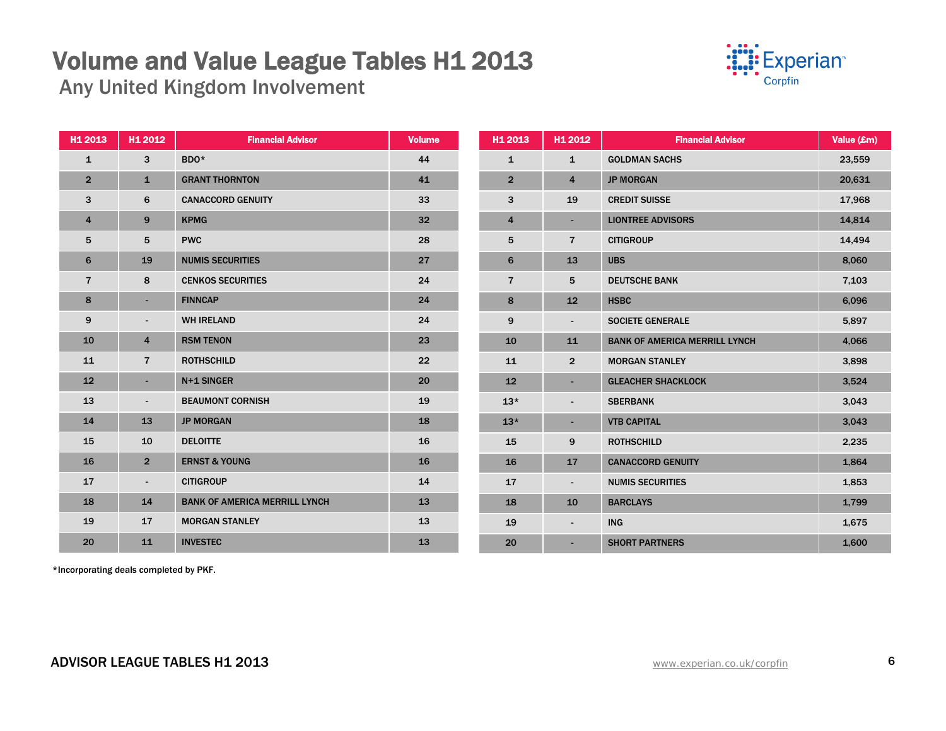Any United Kingdom Involvement



| H1 2013        | H1 2012                  | <b>Financial Advisor</b>             | <b>Volume</b> | H1 2013        | H1 2012                  | <b>Financial Advisor</b>             | Value (£m) |
|----------------|--------------------------|--------------------------------------|---------------|----------------|--------------------------|--------------------------------------|------------|
| $\mathbf{1}$   | 3                        | BDO <sup>*</sup>                     | 44            | $\mathbf{1}$   | $\mathbf{1}$             | <b>GOLDMAN SACHS</b>                 | 23,559     |
| $\overline{2}$ | $\mathbf{1}$             | <b>GRANT THORNTON</b>                | 41            | $\overline{2}$ | 4                        | <b>JP MORGAN</b>                     | 20,631     |
| 3              | 6                        | <b>CANACCORD GENUITY</b>             | 33            | 3              | 19                       | <b>CREDIT SUISSE</b>                 | 17,968     |
| 4              | 9                        | <b>KPMG</b>                          | 32            | 4              | $\blacksquare$           | <b>LIONTREE ADVISORS</b>             | 14,814     |
| 5              | 5                        | <b>PWC</b>                           | 28            | 5              | $\overline{7}$           | <b>CITIGROUP</b>                     | 14,494     |
| 6              | 19                       | <b>NUMIS SECURITIES</b>              | 27            | 6              | 13                       | <b>UBS</b>                           | 8,060      |
| $\overline{7}$ | 8                        | <b>CENKOS SECURITIES</b>             | 24            | $\overline{7}$ | 5                        | <b>DEUTSCHE BANK</b>                 | 7,103      |
| 8              | ٠.                       | <b>FINNCAP</b>                       | 24            | 8              | 12                       | <b>HSBC</b>                          | 6,096      |
| 9              | $\sim$                   | <b>WH IRELAND</b>                    | 24            | 9              | $\overline{\phantom{a}}$ | <b>SOCIETE GENERALE</b>              | 5,897      |
| 10             | 4                        | <b>RSM TENON</b>                     | 23            | 10             | 11                       | <b>BANK OF AMERICA MERRILL LYNCH</b> | 4,066      |
| 11             | $\overline{7}$           | <b>ROTHSCHILD</b>                    | 22            | 11             | $\overline{2}$           | <b>MORGAN STANLEY</b>                | 3,898      |
| 12             | ٠.                       | N+1 SINGER                           | 20            | 12             | $\sim$                   | <b>GLEACHER SHACKLOCK</b>            | 3,524      |
| 13             | $\overline{\phantom{a}}$ | <b>BEAUMONT CORNISH</b>              | 19            | $13*$          | $\overline{\phantom{a}}$ | <b>SBERBANK</b>                      | 3,043      |
| 14             | 13                       | <b>JP MORGAN</b>                     | 18            | $13*$          | ÷                        | <b>VTB CAPITAL</b>                   | 3,043      |
| 15             | 10                       | <b>DELOITTE</b>                      | 16            | 15             | 9                        | <b>ROTHSCHILD</b>                    | 2,235      |
| 16             | 2 <sup>1</sup>           | <b>ERNST &amp; YOUNG</b>             | 16            | 16             | 17                       | <b>CANACCORD GENUITY</b>             | 1,864      |
| 17             | $\blacksquare$           | <b>CITIGROUP</b>                     | 14            | 17             | $\overline{\phantom{a}}$ | <b>NUMIS SECURITIES</b>              | 1,853      |
| 18             | 14                       | <b>BANK OF AMERICA MERRILL LYNCH</b> | 13            | 18             | 10                       | <b>BARCLAYS</b>                      | 1,799      |
| 19             | 17                       | <b>MORGAN STANLEY</b>                | 13            | 19             | $\overline{\phantom{a}}$ | <b>ING</b>                           | 1,675      |
| 20             | 11                       | <b>INVESTEC</b>                      | 13            | 20             | $\overline{\phantom{a}}$ | <b>SHORT PARTNERS</b>                | 1,600      |

\*Incorporating deals completed by PKF.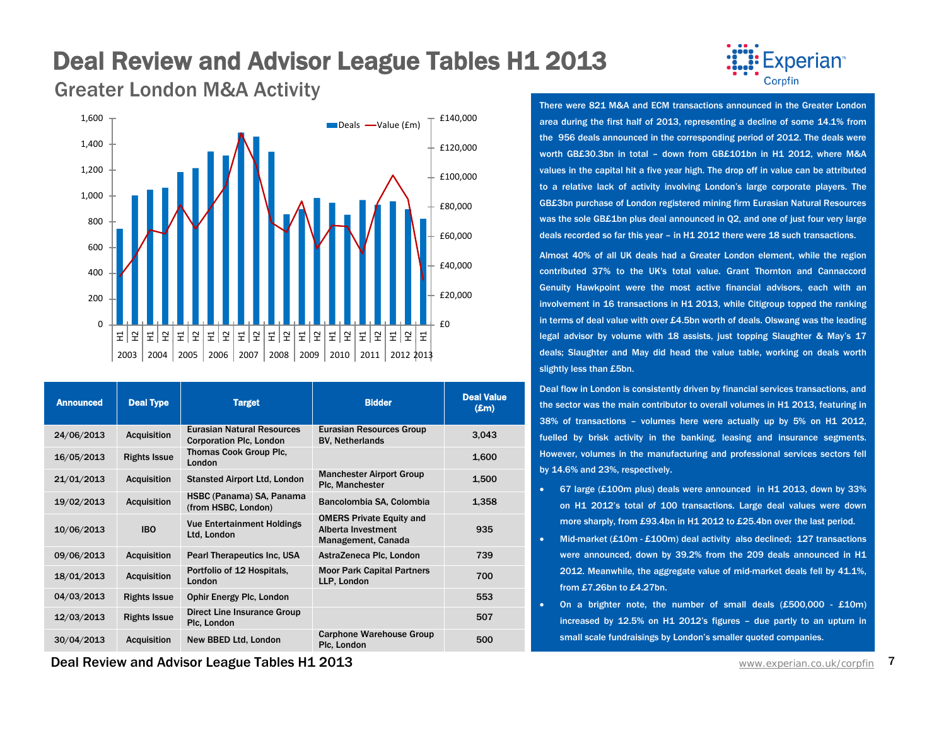### Deal Review and Advisor League Tables H1 2013

**Experian**<sup>®</sup> Corpfin

Greater London M&A Activity



| <b>Announced</b> | <b>Deal Type</b>    | <b>Target</b>                                                       | <b>Bidder</b>                                                               | <b>Deal Value</b><br>$(\mathbf{Em})$ |
|------------------|---------------------|---------------------------------------------------------------------|-----------------------------------------------------------------------------|--------------------------------------|
| 24/06/2013       | <b>Acquisition</b>  | <b>Eurasian Natural Resources</b><br><b>Corporation Plc, London</b> | Eurasian Resources Group<br><b>BV. Netherlands</b>                          | 3,043                                |
| 16/05/2013       | <b>Rights Issue</b> | Thomas Cook Group Plc.<br>London                                    |                                                                             | 1,600                                |
| 21/01/2013       | <b>Acquisition</b>  | <b>Stansted Airport Ltd, London</b>                                 | <b>Manchester Airport Group</b><br>Plc. Manchester                          | 1,500                                |
| 19/02/2013       | <b>Acquisition</b>  | HSBC (Panama) SA, Panama<br>(from HSBC, London)                     | Bancolombia SA, Colombia                                                    | 1,358                                |
| 10/06/2013       | <b>IBO</b>          | <b>Vue Entertainment Holdings</b><br>Ltd, London                    | <b>OMERS Private Equity and</b><br>Alberta Investment<br>Management, Canada | 935                                  |
| 09/06/2013       | <b>Acquisition</b>  | Pearl Therapeutics Inc. USA                                         | AstraZeneca Plc, London                                                     | 739                                  |
| 18/01/2013       | <b>Acquisition</b>  | Portfolio of 12 Hospitals,<br>London                                | <b>Moor Park Capital Partners</b><br>LLP, London                            | 700                                  |
| 04/03/2013       | <b>Rights Issue</b> | <b>Ophir Energy Plc, London</b>                                     |                                                                             | 553                                  |
| 12/03/2013       | <b>Rights Issue</b> | <b>Direct Line Insurance Group</b><br>Plc, London                   |                                                                             | 507                                  |
| 30/04/2013       | <b>Acquisition</b>  | New BBED Ltd, London                                                | <b>Carphone Warehouse Group</b><br>Plc. London                              | 500                                  |

There were 821 M&A and ECM transactions announced in the Greater London area during the first half of 2013, representing a decline of some 14.1% from the 956 deals announced in the corresponding period of 2012. The deals were worth GB£30.3bn in total – down from GB£101bn in H1 2012, where M&A values in the capital hit a five year high. The drop off in value can be attributed to a relative lack of activity involving London's large corporate players. The GB£3bn purchase of London registered mining firm Eurasian Natural Resources was the sole GB£1bn plus deal announced in Q2, and one of just four very large deals recorded so far this year – in H1 2012 there were 18 such transactions.

Almost 40% of all UK deals had a Greater London element, while the region contributed 37% to the UK's total value. Grant Thornton and Cannaccord Genuity Hawkpoint were the most active financial advisors, each with an involvement in 16 transactions in H1 2013, while Citigroup topped the ranking in terms of deal value with over £4.5bn worth of deals. Olswang was the leading legal advisor by volume with 18 assists, just topping Slaughter & May's 17 deals; Slaughter and May did head the value table, working on deals worth slightly less than £5bn.

Deal flow in London is consistently driven by financial services transactions, and the sector was the main contributor to overall volumes in H1 2013, featuring in 38% of transactions – volumes here were actually up by 5% on H1 2012, fuelled by brisk activity in the banking, leasing and insurance segments. However, volumes in the manufacturing and professional services sectors fell by 14.6% and 23%, respectively.

- 67 large (£100m plus) deals were announced in H1 2013, down by 33% on H1 2012's total of 100 transactions. Large deal values were down more sharply, from £93.4bn in H1 2012 to £25.4bn over the last period.
- Mid-market (£10m £100m) deal activity also declined; 127 transactions were announced, down by 39.2% from the 209 deals announced in H1 2012. Meanwhile, the aggregate value of mid-market deals fell by 41.1%, from £7.26bn to £4.27bn.
- On a brighter note, the number of small deals  $(E500,000 E10m)$ increased by 12.5% on H1 2012's figures - due partly to an upturn in small scale fundraisings by London's smaller quoted companies.

**Deal Review and Advisor League Tables H1 2013** Water Connection Connection Connection Connection Connection 7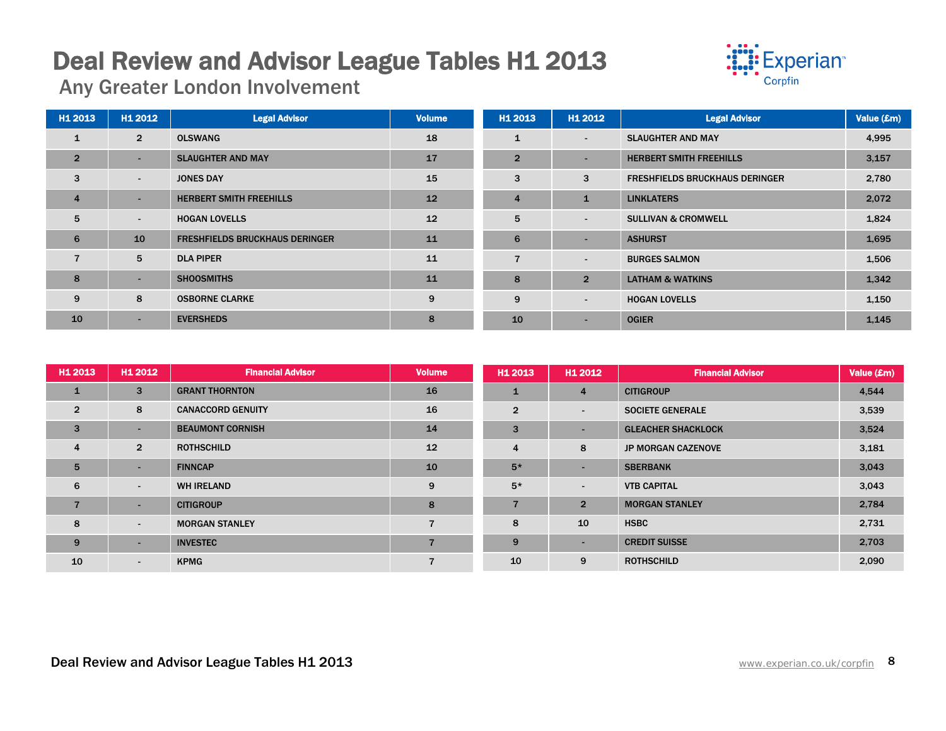## **Deal Review and Advisor League Tables H1 2013**<br>Any Greater London Involvement



| H1 2013        | H <sub>1</sub> 2012 | <b>Legal Advisor</b>                  | <b>Volume</b> | H1 2013        | H1 2012                  | <b>Legal Advisor</b>                  | Value (£m) |
|----------------|---------------------|---------------------------------------|---------------|----------------|--------------------------|---------------------------------------|------------|
| $\mathbf{1}$   | $\overline{2}$      | <b>OLSWANG</b>                        | 18            |                | $\blacksquare$           | <b>SLAUGHTER AND MAY</b>              | 4,995      |
| $\overline{2}$ | ۰                   | <b>SLAUGHTER AND MAY</b>              | 17            | $\overline{2}$ | $\overline{\phantom{0}}$ | <b>HERBERT SMITH FREEHILLS</b>        | 3,157      |
| 3              | $\blacksquare$      | <b>JONES DAY</b>                      | 15            | 3              | 3                        | <b>FRESHFIELDS BRUCKHAUS DERINGER</b> | 2,780      |
| $\overline{4}$ | ۰                   | <b>HERBERT SMITH FREEHILLS</b>        | 12            | $\overline{4}$ | 1                        | <b>LINKLATERS</b>                     | 2,072      |
| 5              | ۰.                  | <b>HOGAN LOVELLS</b>                  | 12            | 5              | $\blacksquare$           | <b>SULLIVAN &amp; CROMWELL</b>        | 1,824      |
| 6              | 10                  | <b>FRESHFIELDS BRUCKHAUS DERINGER</b> | 11            | 6              | -                        | <b>ASHURST</b>                        | 1,695      |
|                | 5                   | <b>DLA PIPER</b>                      | 11            |                | $\blacksquare$           | <b>BURGES SALMON</b>                  | 1,506      |
| 8              | -                   | <b>SHOOSMITHS</b>                     | 11            | 8              | $\overline{2}$           | <b>LATHAM &amp; WATKINS</b>           | 1,342      |
| 9              | 8                   | <b>OSBORNE CLARKE</b>                 | 9             | 9              | $\blacksquare$           | <b>HOGAN LOVELLS</b>                  | 1,150      |
| 10             | ۰                   | <b>EVERSHEDS</b>                      | 8             | 10             | -                        | <b>OGIER</b>                          | 1,145      |

| H1 2013        | H1 2012        | <b>Financial Advisor</b> | <b>Volume</b>            | H <sub>1</sub> 2013 | H1 2012        | <b>Financial Advisor</b>  | Value (£m) |
|----------------|----------------|--------------------------|--------------------------|---------------------|----------------|---------------------------|------------|
| 1              | 3              | <b>GRANT THORNTON</b>    | 16                       |                     | $\overline{4}$ | <b>CITIGROUP</b>          | 4,544      |
| $\overline{2}$ | 8              | <b>CANACCORD GENUITY</b> | 16                       | $\overline{2}$      | $\sim$         | <b>SOCIETE GENERALE</b>   | 3,539      |
| 3              |                | <b>BEAUMONT CORNISH</b>  | 14                       | 3                   |                | <b>GLEACHER SHACKLOCK</b> | 3,524      |
| 4              | $\overline{2}$ | <b>ROTHSCHILD</b>        | 12                       | 4                   | 8              | <b>JP MORGAN CAZENOVE</b> | 3,181      |
| 5              | $\sim$         | <b>FINNCAP</b>           | 10                       | $5*$                | $\sim$         | <b>SBERBANK</b>           | 3,043      |
| 6              | $\blacksquare$ | <b>WH IRELAND</b>        | 9                        | $5*$                | ۰              | <b>VTB CAPITAL</b>        | 3,043      |
|                | н.             | <b>CITIGROUP</b>         | 8                        |                     | 2 <sup>1</sup> | <b>MORGAN STANLEY</b>     | 2,784      |
| 8              | $\sim$         | <b>MORGAN STANLEY</b>    | $\overline{\phantom{a}}$ | 8                   | 10             | <b>HSBC</b>               | 2,731      |
| 9              | $\sim$         | <b>INVESTEC</b>          | $\overline{7}$           | 9                   | ۰              | <b>CREDIT SUISSE</b>      | 2,703      |
| 10             | $\sim$         | <b>KPMG</b>              | $\overline{7}$           | 10                  | 9              | <b>ROTHSCHILD</b>         | 2,090      |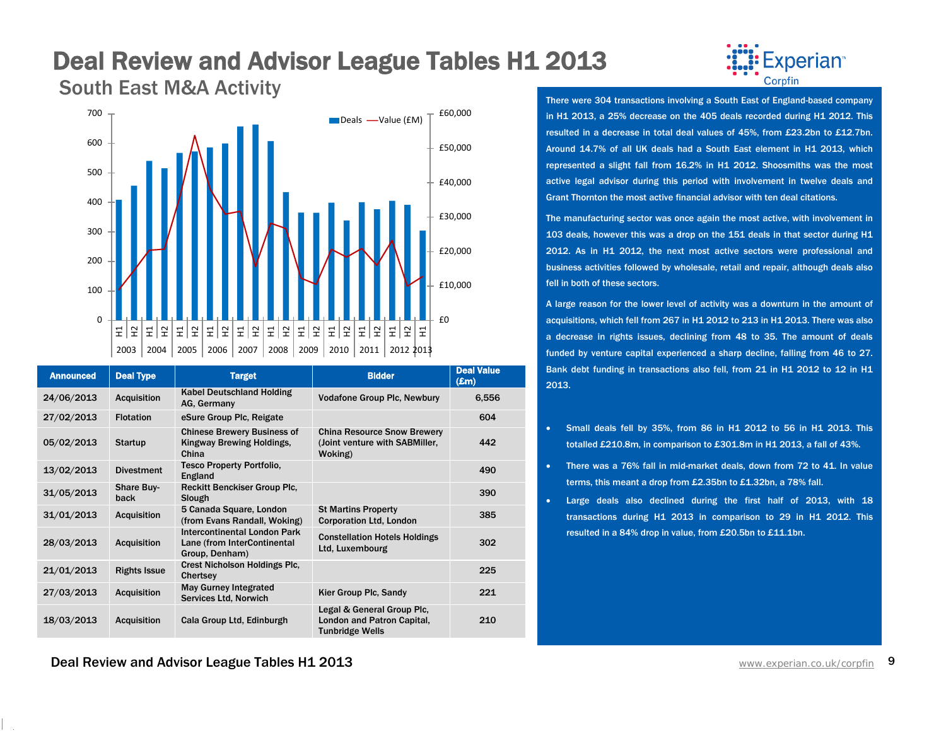## **Deal Review and Advisor League Tables H1 2013**<br>South East M&A Activity



|  | South East M&A Activity |  |
|--|-------------------------|--|

| <b>Announced</b> | <b>Deal Type</b>          | <b>Target</b>                                                                        | <b>Bidder</b>                                                                      | <b>Deal Value</b><br>$(\mathbf{Em})$ |
|------------------|---------------------------|--------------------------------------------------------------------------------------|------------------------------------------------------------------------------------|--------------------------------------|
| 24/06/2013       | <b>Acquisition</b>        | Kabel Deutschland Holding<br>AG, Germany                                             | <b>Vodafone Group Plc, Newbury</b>                                                 | 6,556                                |
| 27/02/2013       | <b>Flotation</b>          | eSure Group Plc, Reigate                                                             |                                                                                    | 604                                  |
| 05/02/2013       | <b>Startup</b>            | <b>Chinese Brewery Business of</b><br>Kingway Brewing Holdings,<br>China             | <b>China Resource Snow Brewery</b><br>(Joint venture with SABMiller,<br>Woking)    | 442                                  |
| 13/02/2013       | <b>Divestment</b>         | <b>Tesco Property Portfolio,</b><br>England                                          |                                                                                    | 490                                  |
| 31/05/2013       | <b>Share Buy-</b><br>back | <b>Reckitt Benckiser Group Plc.</b><br>Slough                                        |                                                                                    | 390                                  |
| 31/01/2013       | <b>Acquisition</b>        | 5 Canada Square, London<br>(from Evans Randall, Woking)                              | <b>St Martins Property</b><br><b>Corporation Ltd. London</b>                       | 385                                  |
| 28/03/2013       | <b>Acquisition</b>        | <b>Intercontinental London Park</b><br>Lane (from InterContinental<br>Group, Denham) | <b>Constellation Hotels Holdings</b><br>Ltd, Luxembourg                            | 302                                  |
| 21/01/2013       | <b>Rights Issue</b>       | <b>Crest Nicholson Holdings Plc,</b><br>Chertsey                                     |                                                                                    | 225                                  |
| 27/03/2013       | <b>Acquisition</b>        | <b>May Gurney Integrated</b><br>Services Ltd, Norwich                                | Kier Group Plc, Sandy                                                              | 221                                  |
| 18/03/2013       | <b>Acquisition</b>        | Cala Group Ltd, Edinburgh                                                            | Legal & General Group Plc.<br>London and Patron Capital,<br><b>Tunbridge Wells</b> | 210                                  |



There were 304 transactions involving a South East of England-based company in H1 2013, a 25% decrease on the 405 deals recorded during H1 2012. This resulted in a decrease in total deal values of 45%, from £23.2bn to £12.7bn. Around 14.7% of all UK deals had a South East element in H1 2013, which represented a slight fall from 16.2% in H1 2012. Shoosmiths was the most active legal advisor during this period with involvement in twelve deals and Grant Thornton the most active financial advisor with ten deal citations.

The manufacturing sector was once again the most active, with involvement in 103 deals, however this was a drop on the 151 deals in that sector during H1 2012. As in H1 2012, the next most active sectors were professional and business activities followed by wholesale, retail and repair, although deals also fell in both of these sectors.

A large reason for the lower level of activity was a downturn in the amount of acquisitions, which fell from 267 in H1 2012 to 213 in H1 2013. There was also a decrease in rights issues, declining from 48 to 35. The amount of deals funded by venture capital experienced a sharp decline, falling from 46 to 27. Bank debt funding in transactions also fell, from 21 in H1 2012 to 12 in H1 2013.

- Small deals fell by 35%, from 86 in H1 2012 to 56 in H1 2013. This totalled £210.8m, in comparison to £301.8m in H1 2013, a fall of 43%.
- There was a 76% fall in mid-market deals, down from 72 to 41. In value terms, this meant a drop from £2.35bn to £1.32bn, a 78% fall.
- Large deals also declined during the first half of 2013, with 18 transactions during H1 2013 in comparison to 29 in H1 2012. This resulted in a 84% drop in value, from £20.5bn to £11.1bn.

**Deal Review and Advisor League Tables H1 2013** Water Connection Connection Connection Connection 2014 Www.experian.co.uk/corpfin 9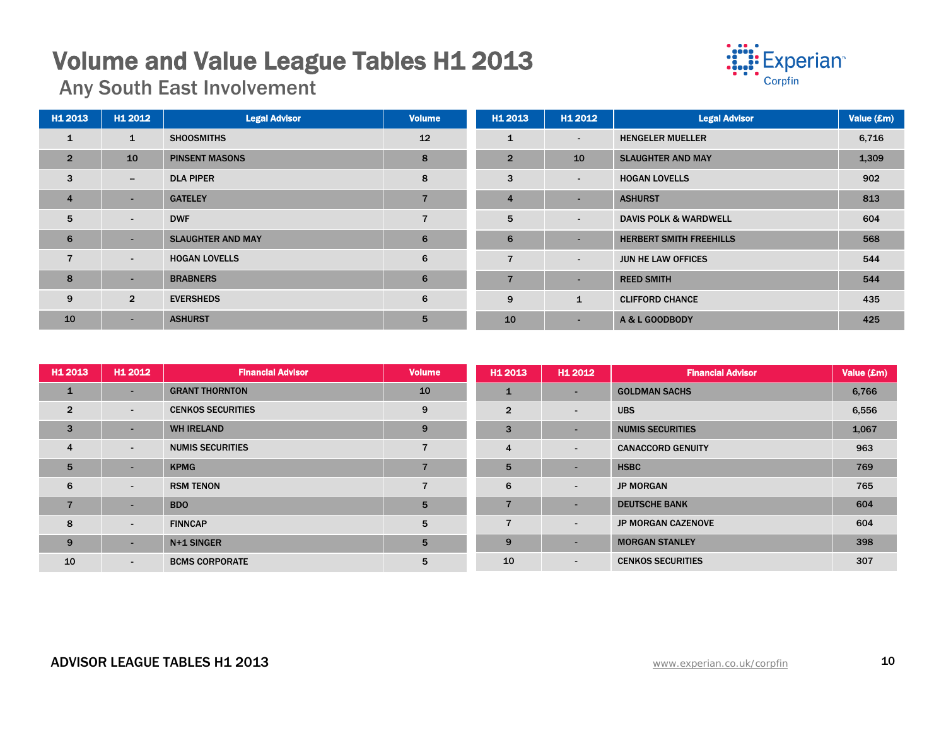## **Volume and Value League Tables H1 2013**<br>Any South East Involvement



| H1 2013        | H1 2012                  | <b>Legal Advisor</b>     | <b>Volume</b>  | H1 2013        | H1 2012                  | <b>Legal Advisor</b>             | Value (£m) |
|----------------|--------------------------|--------------------------|----------------|----------------|--------------------------|----------------------------------|------------|
| $\mathbf{1}$   | 1                        | <b>SHOOSMITHS</b>        | 12             | $\mathbf{1}$   | $\overline{\phantom{a}}$ | <b>HENGELER MUELLER</b>          | 6,716      |
| $\overline{2}$ | 10                       | <b>PINSENT MASONS</b>    | 8              | $\overline{2}$ | 10                       | <b>SLAUGHTER AND MAY</b>         | 1,309      |
| 3              | $\overline{\phantom{0}}$ | <b>DLA PIPER</b>         | 8              | 3              | $\overline{\phantom{a}}$ | <b>HOGAN LOVELLS</b>             | 902        |
| $\overline{4}$ | ۰.                       | <b>GATELEY</b>           | $\overline{ }$ | $\overline{4}$ | $\overline{\phantom{0}}$ | <b>ASHURST</b>                   | 813        |
| 5              | $\sim$                   | <b>DWF</b>               |                | 5              | $\overline{\phantom{a}}$ | <b>DAVIS POLK &amp; WARDWELL</b> | 604        |
| 6              | ۰.                       | <b>SLAUGHTER AND MAY</b> | 6              | 6              | $\overline{\phantom{0}}$ | <b>HERBERT SMITH FREEHILLS</b>   | 568        |
| $\overline{7}$ | $\sim$                   | <b>HOGAN LOVELLS</b>     | 6              | $\overline{7}$ | $\blacksquare$           | JUN HE LAW OFFICES               | 544        |
| 8              | ۰.                       | <b>BRABNERS</b>          | 6              | $\overline{7}$ | $\overline{\phantom{0}}$ | <b>REED SMITH</b>                | 544        |
| 9              | $\overline{2}$           | <b>EVERSHEDS</b>         | 6              | 9              | $\mathbf{1}$             | <b>CLIFFORD CHANCE</b>           | 435        |
| 10             | $\sim$                   | <b>ASHURST</b>           | 5              | 10             | ٠                        | A & L GOODBODY                   | 425        |

| H1 2013        | H1 2012        | <b>Financial Advisor</b> | <b>Volume</b> | H <sub>1</sub> 2013 | H1 2012                  | <b>Financial Advisor</b>  | Value (£m) |
|----------------|----------------|--------------------------|---------------|---------------------|--------------------------|---------------------------|------------|
| 1              |                | <b>GRANT THORNTON</b>    | 10            | 1                   | $\sim$                   | <b>GOLDMAN SACHS</b>      | 6,766      |
| $\overline{2}$ | ۰.             | <b>CENKOS SECURITIES</b> | 9             | $\overline{2}$      | $\overline{\phantom{a}}$ | <b>UBS</b>                | 6,556      |
| 3              |                | <b>WH IRELAND</b>        | 9             | 3                   | $\sim$                   | <b>NUMIS SECURITIES</b>   | 1,067      |
| $\overline{4}$ | $\blacksquare$ | <b>NUMIS SECURITIES</b>  | 7             | $\overline{4}$      | $\overline{\phantom{a}}$ | <b>CANACCORD GENUITY</b>  | 963        |
| 5              | -              | <b>KPMG</b>              |               | 5                   | <b>.</b>                 | <b>HSBC</b>               | 769        |
| 6              | $\blacksquare$ | <b>RSM TENON</b>         | –             | 6                   | $\overline{\phantom{a}}$ | <b>JP MORGAN</b>          | 765        |
| $\overline{7}$ |                | <b>BDO</b>               | 5             | $\overline{7}$      | $\sim$                   | <b>DEUTSCHE BANK</b>      | 604        |
| 8              | ۰.             | <b>FINNCAP</b>           | 5             | 7                   | $\overline{\phantom{a}}$ | <b>JP MORGAN CAZENOVE</b> | 604        |
| 9              |                | N+1 SINGER               | 5             | 9                   | $\sim$                   | <b>MORGAN STANLEY</b>     | 398        |
| 10             | $\sim$         | <b>BCMS CORPORATE</b>    | 5             | 10                  | $\overline{\phantom{a}}$ | <b>CENKOS SECURITIES</b>  | 307        |

### ADVISOR LEAGUE TABLES H1 2013 **ADVISOR LEAGUE TABLES H1 2013**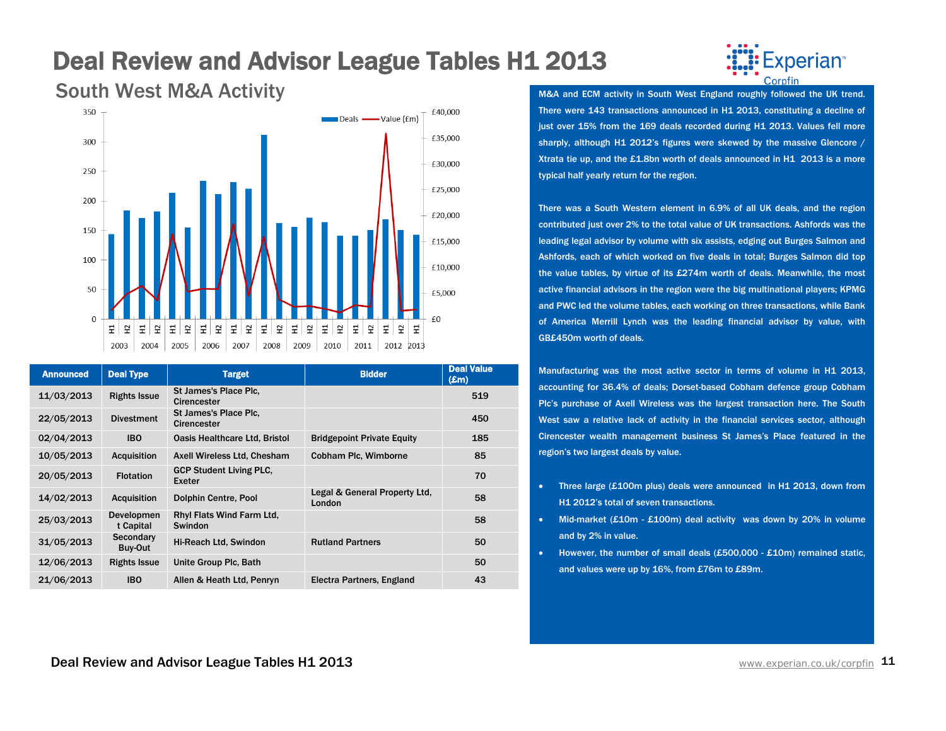### Deal Review and Advisor League Tables H1 2013



| <b>Announced</b> | <b>Deal Type</b>        | <b>Target</b>                               | <b>Bidder</b>                           | <b>Deal Value</b><br>$(\pmb{\pounds}m)$ |
|------------------|-------------------------|---------------------------------------------|-----------------------------------------|-----------------------------------------|
| 11/03/2013       | <b>Rights Issue</b>     | St James's Place Plc.<br>Cirencester        |                                         | 519                                     |
| 22/05/2013       | <b>Divestment</b>       | St James's Place Plc.<br><b>Cirencester</b> |                                         | 450                                     |
| 02/04/2013       | <b>IBO</b>              | Oasis Healthcare Ltd, Bristol               | <b>Bridgepoint Private Equity</b>       | 185                                     |
| 10/05/2013       | <b>Acquisition</b>      | Axell Wireless Ltd, Chesham                 | Cobham Plc, Wimborne                    | 85                                      |
| 20/05/2013       | <b>Flotation</b>        | <b>GCP Student Living PLC.</b><br>Exeter    |                                         | 70                                      |
| 14/02/2013       | <b>Acquisition</b>      | Dolphin Centre, Pool                        | Legal & General Property Ltd.<br>London | 58                                      |
| 25/03/2013       | Developmen<br>t Capital | Rhyl Flats Wind Farm Ltd.<br>Swindon        |                                         | 58                                      |
| 31/05/2013       | Secondary<br>Buy-Out    | Hi-Reach Ltd, Swindon                       | <b>Rutland Partners</b>                 | 50                                      |
| 12/06/2013       | <b>Rights Issue</b>     | Unite Group Plc, Bath                       |                                         | 50                                      |
| 21/06/2013       | <b>IBO</b>              | Allen & Heath Ltd, Penryn                   | Electra Partners, England               | 43                                      |

### xperian<sup>™</sup> Cornfin

M&A and ECM activity in South West England roughly followed the UK trend. There were 143 transactions announced in H1 2013, constituting a decline of just over 15% from the 169 deals recorded during H1 2013. Values fell more sharply, although H1 2012's figures were skewed by the massive Glencore / Xtrata tie up, and the £1.8bn worth of deals announced in H1 2013 is a more typical half yearly return for the region.

There was a South Western element in 6.9% of all UK deals, and the region contributed just over 2% to the total value of UK transactions. Ashfords was the leading legal advisor by volume with six assists, edging out Burges Salmon and Ashfords, each of which worked on five deals in total; Burges Salmon did top the value tables, by virtue of its £274m worth of deals. Meanwhile, the most active financial advisors in the region were the big multinational players; KPMG and PWC led the volume tables, each working on three transactions, while Bank of America Merrill Lynch was the leading financial advisor by value, with GB£450m worth of deals.

Manufacturing was the most active sector in terms of volume in H1 2013, accounting for 36.4% of deals; Dorset-based Cobham defence group Cobham Plc's purchase of Axell Wireless was the largest transaction here. The South West saw a relative lack of activity in the financial services sector, although Cirencester wealth management business St James's Place featured in the region's two largest deals by value.

- Three large (£100m plus) deals were announced in H1 2013, down from H1 2012's total of seven transactions.
- Mid-market (£10m £100m) deal activity was down by 20% in volume and by 2% in value.
- However, the number of small deals (£500,000 £10m) remained static, and values were up by 16%, from £76m to £89m.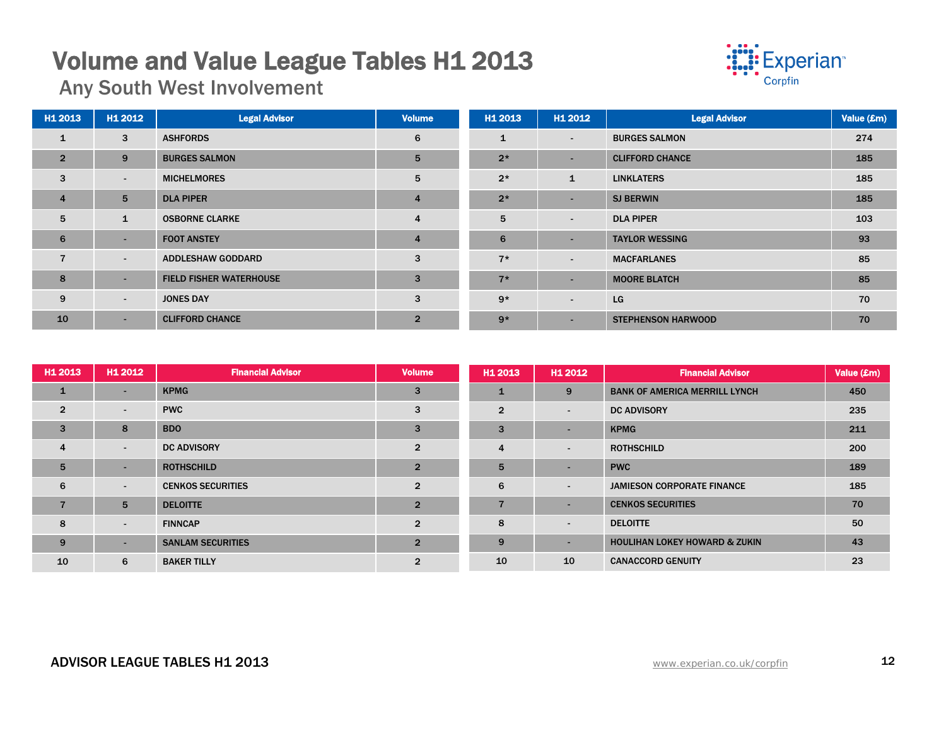## **Volume and Value League Tables H1 2013**<br>Any South West Involvement



| H1 2013        | H1 2012         | <b>Legal Advisor</b>           | <b>Volume</b>  | H1 2013      | H1 2012                  | <b>Legal Advisor</b>      | Value (£m) |
|----------------|-----------------|--------------------------------|----------------|--------------|--------------------------|---------------------------|------------|
| $\mathbf{1}$   | 3               | <b>ASHFORDS</b>                | 6              | $\mathbf{1}$ | $\sim$                   | <b>BURGES SALMON</b>      | 274        |
| $\overline{2}$ | 9               | <b>BURGES SALMON</b>           | 5              | $2*$         | $\overline{\phantom{0}}$ | <b>CLIFFORD CHANCE</b>    | 185        |
| $\mathbf{3}$   | $\sim$          | <b>MICHELMORES</b>             | 5              | $2*$         | $\mathbf{1}$             | <b>LINKLATERS</b>         | 185        |
| $\overline{4}$ | $5\overline{5}$ | <b>DLA PIPER</b>               | $\overline{4}$ | $2*$         | $\overline{\phantom{a}}$ | <b>SJ BERWIN</b>          | 185        |
| 5              | $\mathbf{1}$    | <b>OSBORNE CLARKE</b>          | 4              | 5            | $\sim$                   | <b>DLA PIPER</b>          | 103        |
| 6              | ٠               | <b>FOOT ANSTEY</b>             | $\overline{4}$ | 6            | $\overline{\phantom{0}}$ | <b>TAYLOR WESSING</b>     | 93         |
| $\overline{7}$ | $\sim$          | <b>ADDLESHAW GODDARD</b>       | 3              | $7*$         | $\blacksquare$           | <b>MACFARLANES</b>        | 85         |
| 8              | ٠               | <b>FIELD FISHER WATERHOUSE</b> | 3              | $7*$         | $\overline{\phantom{0}}$ | <b>MOORE BLATCH</b>       | 85         |
| 9              | $\sim$          | <b>JONES DAY</b>               | 3              | $9*$         | $\sim$                   | LG                        | 70         |
| 10             | ÷.              | <b>CLIFFORD CHANCE</b>         | $\overline{2}$ | $9*$         | ٠                        | <b>STEPHENSON HARWOOD</b> | 70         |

| H1 2013        | H1 2012                  | <b>Financial Advisor</b> | <b>Volume</b>  | H <sub>1</sub> 2013 | H1 2012                  | <b>Financial Advisor</b>                 | Value (£m) |
|----------------|--------------------------|--------------------------|----------------|---------------------|--------------------------|------------------------------------------|------------|
| $\mathbf{1}$   | ۰.                       | <b>KPMG</b>              | 3              |                     | 9                        | <b>BANK OF AMERICA MERRILL LYNCH</b>     | 450        |
| $\overline{2}$ | $\sim$                   | <b>PWC</b>               | 3              | $\overline{2}$      | $\overline{\phantom{a}}$ | <b>DC ADVISORY</b>                       | 235        |
| $\overline{3}$ | 8                        | <b>BDO</b>               | 3              | 3                   |                          | <b>KPMG</b>                              | 211        |
| $\overline{4}$ | $\sim$                   | <b>DC ADVISORY</b>       | $\overline{2}$ | $\overline{4}$      | $\sim$                   | <b>ROTHSCHILD</b>                        | 200        |
| 5              | $\sim$                   | <b>ROTHSCHILD</b>        | $\overline{2}$ | 5                   | -                        | <b>PWC</b>                               | 189        |
| 6              | $\overline{\phantom{0}}$ | <b>CENKOS SECURITIES</b> | $\overline{2}$ | 6                   | $\blacksquare$           | <b>JAMIESON CORPORATE FINANCE</b>        | 185        |
| 7              | 5                        | <b>DELOITTE</b>          | $\overline{2}$ | $\overline{7}$      |                          | <b>CENKOS SECURITIES</b>                 | 70         |
| 8              | $\sim$                   | <b>FINNCAP</b>           | $\overline{2}$ | 8                   | $\overline{\phantom{a}}$ | <b>DELOITTE</b>                          | 50         |
| 9              | $\overline{\phantom{0}}$ | <b>SANLAM SECURITIES</b> | $\overline{2}$ | 9                   | $\sim$                   | <b>HOULIHAN LOKEY HOWARD &amp; ZUKIN</b> | 43         |
| 10             | 6                        | <b>BAKER TILLY</b>       | $\overline{2}$ | 10                  | 10                       | <b>CANACCORD GENUITY</b>                 | 23         |

#### ADVISOR LEAGUE TABLES H1 2013 **ADVISOR LEAGUE TABLES H1 2013**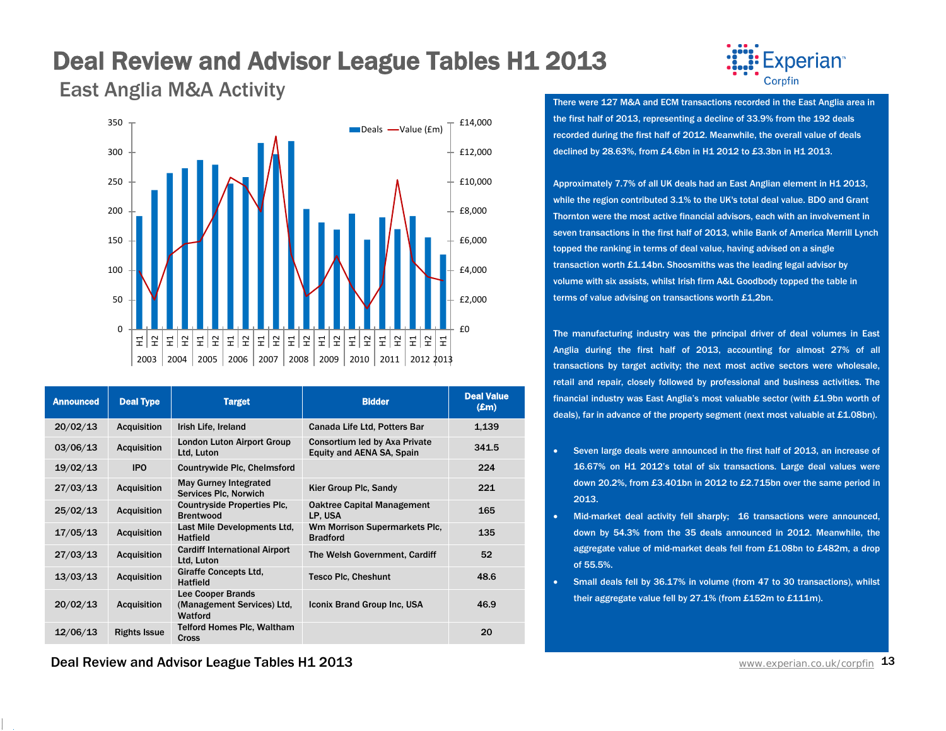## Deal Review and Advisor League Tables H1 2013



East Anglia M&A Activity Corptin Corptin Corptin Corptin Corptin Corptin Corptin Corptin Corptin Corptin Corptin Corptin Corptin Corptin Corptin Corptin Corptin Corptin Corptin Corptin Corptin Corptin Corptin Corptin Corpt



| <b>Announced</b> | <b>Deal Type</b>    | <b>Target</b>                                                     | <b>Bidder</b>                                              | <b>Deal Value</b><br>$(\pmb{\pounds} \mathbf{m})$ |
|------------------|---------------------|-------------------------------------------------------------------|------------------------------------------------------------|---------------------------------------------------|
| 20/02/13         | <b>Acquisition</b>  | Irish Life, Ireland                                               | Canada Life Ltd, Potters Bar                               | 1,139                                             |
| 03/06/13         | <b>Acquisition</b>  | <b>London Luton Airport Group</b><br>Ltd, Luton                   | Consortium led by Axa Private<br>Equity and AENA SA, Spain | 341.5                                             |
| 19/02/13         | <b>IPO</b>          | Countrywide Plc, Chelmsford                                       |                                                            | 224                                               |
| 27/03/13         | <b>Acquisition</b>  | <b>May Gurney Integrated</b><br>Services Plc, Norwich             | Kier Group Plc, Sandy                                      | 221                                               |
| 25/02/13         | <b>Acquisition</b>  | <b>Countryside Properties Plc.</b><br><b>Brentwood</b>            | <b>Oaktree Capital Management</b><br>LP, USA               | 165                                               |
| 17/05/13         | <b>Acquisition</b>  | Last Mile Developments Ltd.<br><b>Hatfield</b>                    | Wm Morrison Supermarkets Plc.<br><b>Bradford</b>           | 135                                               |
| 27/03/13         | <b>Acquisition</b>  | <b>Cardiff International Airport</b><br>Ltd, Luton                | The Welsh Government, Cardiff                              | 52                                                |
| 13/03/13         | <b>Acquisition</b>  | <b>Giraffe Concepts Ltd.</b><br><b>Hatfield</b>                   | <b>Tesco Plc, Cheshunt</b>                                 | 48.6                                              |
| 20/02/13         | <b>Acquisition</b>  | <b>Lee Cooper Brands</b><br>(Management Services) Ltd,<br>Watford | Iconix Brand Group Inc, USA                                | 46.9                                              |
| 12/06/13         | <b>Rights Issue</b> | <b>Telford Homes Plc, Waltham</b><br><b>Cross</b>                 |                                                            | 20                                                |

the first half of 2013, representing a decline of 33.9% from the 192 deals recorded during the first half of 2012. Meanwhile, the overall value of deals declined by 28.63%, from £4.6bn in H1 2012 to £3.3bn in H1 2013.

Approximately 7.7% of all UK deals had an East Anglian element in H1 2013, while the region contributed 3.1% to the UK's total deal value. BDO and Grant Thornton were the most active financial advisors, each with an involvement in seven transactions in the first half of 2013, while Bank of America Merrill Lynch topped the ranking in terms of deal value, having advised on a single transaction worth £1.14bn. Shoosmiths was the leading legal advisor by volume with six assists, whilst Irish firm A&L Goodbody topped the table in terms of value advising on transactions worth £1,2bn.

The manufacturing industry was the principal driver of deal volumes in East Anglia during the first half of 2013, accounting for almost 27% of all transactions by target activity; the next most active sectors were wholesale, retail and repair, closely followed by professional and business activities. The financial industry was East Anglia's most valuable sector (with £1.9bn worth of deals), far in advance of the property segment (next most valuable at £1.08bn).

- Seven large deals were announced in the first half of 2013, an increase of 16.67% on H1 2012's total of six transactions. Large deal values were down 20.2%, from £3.401bn in 2012 to £2.715bn over the same period in 2013.
- Mid-market deal activity fell sharply; 16 transactions were announced, down by 54.3% from the 35 deals announced in 2012. Meanwhile, the aggregate value of mid-market deals fell from £1.08bn to £482m, a drop of 55.5%.
- Small deals fell by 36.17% in volume (from 47 to 30 transactions), whilst their aggregate value fell by 27.1% (from £152m to £111m).

Deal Review and Advisor League Tables H1 2013 WWW.experian.co.uk/corpfin 13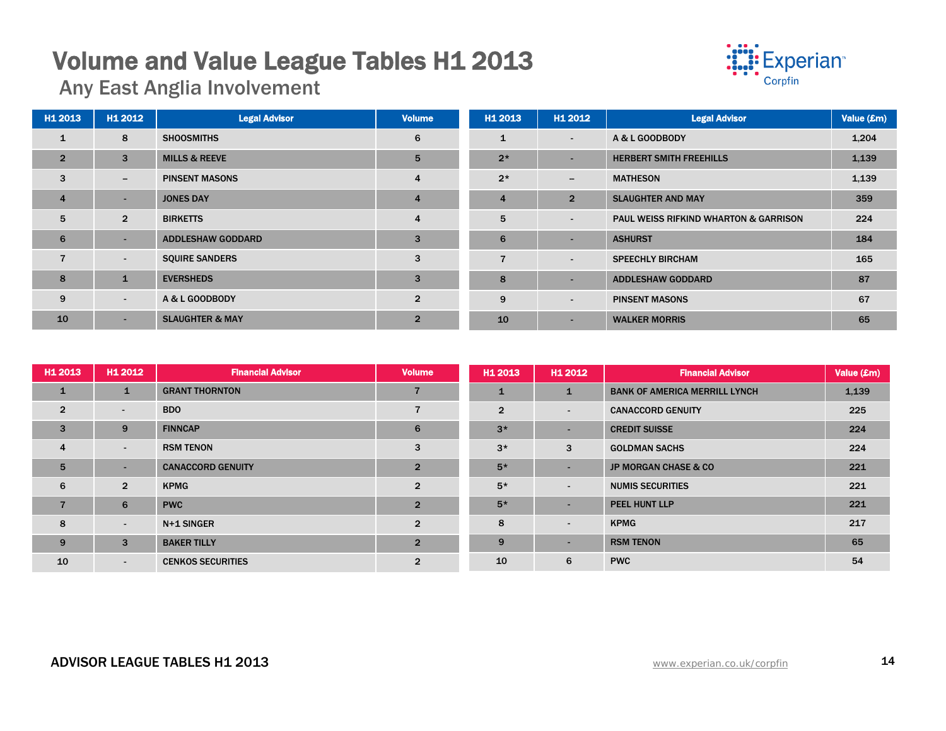## **Volume and Value League Tables H1 2013**<br>Any East Anglia Involvement



| H <sub>1</sub> 2013 | H1 2012                  | <b>Legal Advisor</b>       | <b>Volume</b>  | H1 2013        | H1 2012                  | <b>Legal Advisor</b>                             | Value (£m) |
|---------------------|--------------------------|----------------------------|----------------|----------------|--------------------------|--------------------------------------------------|------------|
| $\mathbf{1}$        | 8                        | <b>SHOOSMITHS</b>          | 6              | $\mathbf{1}$   | $\overline{\phantom{a}}$ | A & L GOODBODY                                   | 1,204      |
| $\overline{2}$      | 3                        | <b>MILLS &amp; REEVE</b>   | 5              | $2*$           | $\overline{\phantom{a}}$ | <b>HERBERT SMITH FREEHILLS</b>                   | 1,139      |
| 3                   | $-$                      | <b>PINSENT MASONS</b>      | 4              | $2*$           | $\overline{\phantom{a}}$ | <b>MATHESON</b>                                  | 1,139      |
| $\overline{4}$      | ۰                        | <b>JONES DAY</b>           | $\overline{4}$ | $\overline{4}$ | $\overline{2}$           | <b>SLAUGHTER AND MAY</b>                         | 359        |
| 5                   | $\overline{2}$           | <b>BIRKETTS</b>            | 4              | 5              | $\overline{\phantom{a}}$ | <b>PAUL WEISS RIFKIND WHARTON &amp; GARRISON</b> | 224        |
| 6                   | $\overline{\phantom{a}}$ | <b>ADDLESHAW GODDARD</b>   | 3              | 6              | $\overline{\phantom{a}}$ | <b>ASHURST</b>                                   | 184        |
| $\overline{7}$      | $\sim$                   | <b>SQUIRE SANDERS</b>      | 3              | $\overline{7}$ | $\overline{\phantom{a}}$ | <b>SPEECHLY BIRCHAM</b>                          | 165        |
| 8                   | 1                        | <b>EVERSHEDS</b>           | 3              | 8              | $\overline{\phantom{a}}$ | <b>ADDLESHAW GODDARD</b>                         | 87         |
| 9                   | $\sim$                   | A & L GOODBODY             | $\overline{2}$ | 9              | $\overline{\phantom{a}}$ | <b>PINSENT MASONS</b>                            | 67         |
| 10                  | ٠                        | <b>SLAUGHTER &amp; MAY</b> | $\overline{2}$ | 10             | $\overline{\phantom{a}}$ | <b>WALKER MORRIS</b>                             | 65         |

| H1 2013        | H1 2012        | <b>Financial Advisor</b> | <b>Volume</b>  | H <sub>1</sub> 2013 | H1 2012                  | <b>Financial Advisor</b>             | Value (£m) |
|----------------|----------------|--------------------------|----------------|---------------------|--------------------------|--------------------------------------|------------|
| $\mathbf{1}$   | $\mathbf{1}$   | <b>GRANT THORNTON</b>    |                | 1                   | $\mathbf{1}$             | <b>BANK OF AMERICA MERRILL LYNCH</b> | 1,139      |
| $\overline{2}$ | ۰.             | <b>BDO</b>               | 7              | $\overline{2}$      | $\sim$                   | <b>CANACCORD GENUITY</b>             | 225        |
| 3              | 9              | <b>FINNCAP</b>           | 6              | $3*$                | $\sim$                   | <b>CREDIT SUISSE</b>                 | 224        |
| $\overline{4}$ | $\sim$         | <b>RSM TENON</b>         | 3              | $3*$                | 3                        | <b>GOLDMAN SACHS</b>                 | 224        |
| 5              | $\sim$         | <b>CANACCORD GENUITY</b> | $\overline{2}$ | $5*$                | <b>.</b>                 | <b>JP MORGAN CHASE &amp; CO</b>      | 221        |
| 6              | $\overline{2}$ | <b>KPMG</b>              | $\overline{2}$ | $5*$                | $\sim$                   | <b>NUMIS SECURITIES</b>              | 221        |
| $\overline{7}$ | 6              | <b>PWC</b>               | $\overline{2}$ | $5*$                | $\sim$                   | PEEL HUNT LLP                        | 221        |
| 8              | $\sim$         | N+1 SINGER               | $\overline{2}$ | 8                   | $\overline{\phantom{a}}$ | <b>KPMG</b>                          | 217        |
| 9              | 3              | <b>BAKER TILLY</b>       | $\overline{2}$ | 9                   | $\sim$                   | <b>RSM TENON</b>                     | 65         |
| 10             | $\sim$         | <b>CENKOS SECURITIES</b> | $\overline{2}$ | 10                  | 6                        | <b>PWC</b>                           | 54         |

#### ADVISOR LEAGUE TABLES H1 2013 **ADVISOR LEAGUE TABLES 14**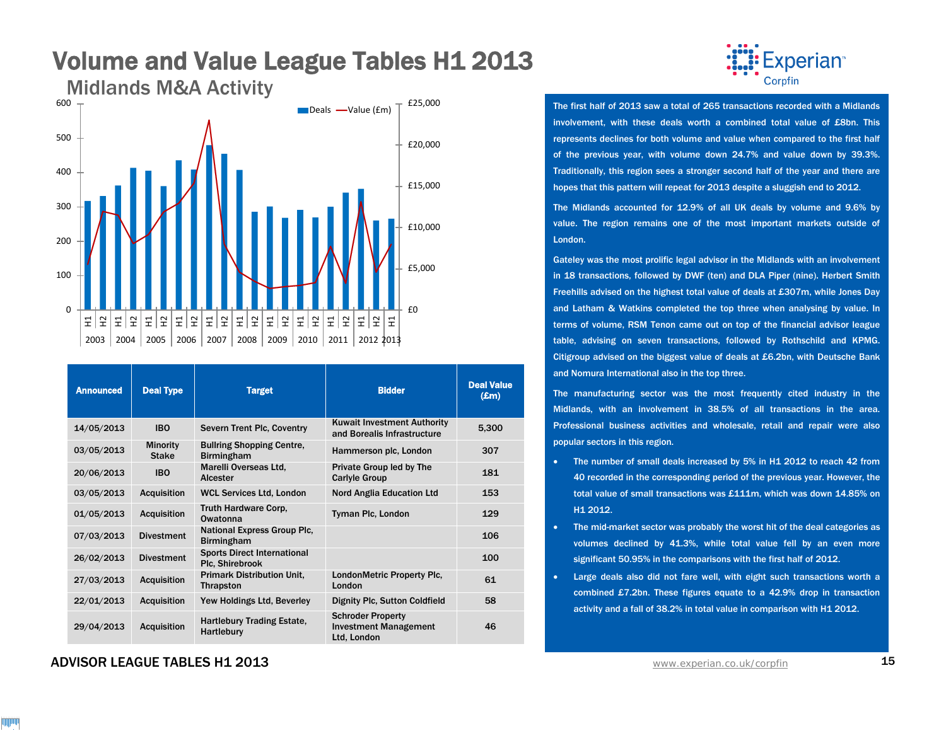

| <b>Announced</b> | <b>Deal Type</b>                | <b>Target</b>                                           | <b>Bidder</b>                                                           | <b>Deal Value</b><br>$(\mathbf{E}$ m) |
|------------------|---------------------------------|---------------------------------------------------------|-------------------------------------------------------------------------|---------------------------------------|
| 14/05/2013       | <b>IBO</b>                      | Severn Trent Plc, Coventry                              | <b>Kuwait Investment Authority</b><br>and Borealis Infrastructure       | 5,300                                 |
| 03/05/2013       | <b>Minority</b><br><b>Stake</b> | <b>Bullring Shopping Centre,</b><br><b>Birmingham</b>   | Hammerson plc, London                                                   | 307                                   |
| 20/06/2013       | <b>IBO</b>                      | Marelli Overseas Ltd.<br>Alcester                       | Private Group led by The<br><b>Carlyle Group</b>                        | 181                                   |
| 03/05/2013       | <b>Acquisition</b>              | <b>WCL Services Ltd. London</b>                         | <b>Nord Anglia Education Ltd</b>                                        | 153                                   |
| 01/05/2013       | <b>Acquisition</b>              | Truth Hardware Corp,<br>Owatonna                        | Tyman Plc, London                                                       | 129                                   |
| 07/03/2013       | <b>Divestment</b>               | <b>National Express Group Plc.</b><br><b>Birmingham</b> |                                                                         | 106                                   |
| 26/02/2013       | <b>Divestment</b>               | <b>Sports Direct International</b><br>Plc. Shirebrook   |                                                                         | 100                                   |
| 27/03/2013       | <b>Acquisition</b>              | <b>Primark Distribution Unit,</b><br><b>Thrapston</b>   | LondonMetric Property Plc,<br>London                                    | 61                                    |
| 22/01/2013       | <b>Acquisition</b>              | Yew Holdings Ltd, Beverley                              | Dignity Plc, Sutton Coldfield                                           | 58                                    |
| 29/04/2013       | <b>Acquisition</b>              | <b>Hartlebury Trading Estate,</b><br>Hartlebury         | <b>Schroder Property</b><br><b>Investment Management</b><br>Ltd. London | 46                                    |

#### ADVISOR LEAGUE TABLES H1 2013 **ADVISOR LEAGUE TABLES H1 2013**



The first half of 2013 saw a total of 265 transactions recorded with a Midlands involvement, with these deals worth a combined total value of £8bn. This represents declines for both volume and value when compared to the first half of the previous year, with volume down 24.7% and value down by 39.3%. Traditionally, this region sees a stronger second half of the year and there are hopes that this pattern will repeat for 2013 despite a sluggish end to 2012.

The Midlands accounted for 12.9% of all UK deals by volume and 9.6% by value. The region remains one of the most important markets outside of London.

Gateley was the most prolific legal advisor in the Midlands with an involvement in 18 transactions, followed by DWF (ten) and DLA Piper (nine). Herbert Smith Freehills advised on the highest total value of deals at £307m, while Jones Day and Latham & Watkins completed the top three when analysing by value. In terms of volume, RSM Tenon came out on top of the financial advisor league table, advising on seven transactions, followed by Rothschild and KPMG. Citigroup advised on the biggest value of deals at £6.2bn, with Deutsche Bank and Nomura International also in the top three.

The manufacturing sector was the most frequently cited industry in the Midlands, with an involvement in 38.5% of all transactions in the area. Professional business activities and wholesale, retail and repair were also popular sectors in this region.

- The number of small deals increased by 5% in H1 2012 to reach 42 from 40 recorded in the corresponding period of the previous year. However, the total value of small transactions was £111m, which was down 14.85% on H1 2012.
- The mid-market sector was probably the worst hit of the deal categories as volumes declined by 41.3%, while total value fell by an even more significant 50.95% in the comparisons with the first half of 2012.
- Large deals also did not fare well, with eight such transactions worth a combined £7.2bn. These figures equate to a 42.9% drop in transaction activity and a fall of 38.2% in total value in comparison with H1 2012.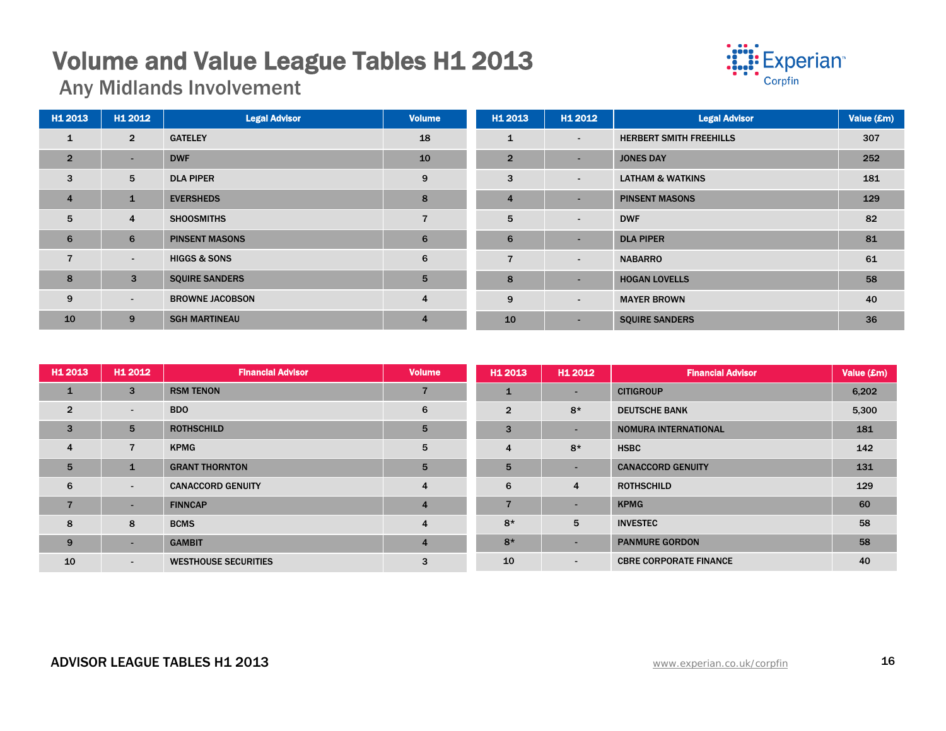## **Volume and Value League Tables H1 2013**<br>Any Midlands Involvement



| H1 2013        | H1 2012        | <b>Legal Advisor</b>    | <b>Volume</b>  | H1 2013        | H1 2012                  | <b>Legal Advisor</b>           | Value (£m) |
|----------------|----------------|-------------------------|----------------|----------------|--------------------------|--------------------------------|------------|
| $\mathbf{1}$   | $\overline{2}$ | <b>GATELEY</b>          | 18             | 1              | $\overline{\phantom{a}}$ | <b>HERBERT SMITH FREEHILLS</b> | 307        |
| $\overline{2}$ | ۰.             | <b>DWF</b>              | 10             | $\overline{2}$ | $\overline{\phantom{a}}$ | <b>JONES DAY</b>               | 252        |
| 3              | 5              | <b>DLA PIPER</b>        | 9              | 3              | $\sim$                   | <b>LATHAM &amp; WATKINS</b>    | 181        |
| $\overline{4}$ | $\mathbf{1}$   | <b>EVERSHEDS</b>        | 8              | $\overline{4}$ | $\overline{\phantom{0}}$ | <b>PINSENT MASONS</b>          | 129        |
| 5              | $\overline{4}$ | <b>SHOOSMITHS</b>       |                | 5              | $\sim$                   | <b>DWF</b>                     | 82         |
| 6              | 6              | <b>PINSENT MASONS</b>   | 6              | 6              | $\overline{\phantom{a}}$ | <b>DLA PIPER</b>               | 81         |
|                | $\sim$         | <b>HIGGS &amp; SONS</b> | 6              | $\overline{7}$ | $\sim$                   | <b>NABARRO</b>                 | 61         |
| 8              | 3              | <b>SQUIRE SANDERS</b>   | 5              | 8              | $\overline{\phantom{0}}$ | <b>HOGAN LOVELLS</b>           | 58         |
| 9              | $\sim$         | <b>BROWNE JACOBSON</b>  | $\overline{4}$ | 9              | $\overline{\phantom{a}}$ | <b>MAYER BROWN</b>             | 40         |
| 10             | 9              | <b>SGH MARTINEAU</b>    | $\overline{4}$ | 10             | $\overline{\phantom{a}}$ | <b>SQUIRE SANDERS</b>          | 36         |

| H <sub>1</sub> 2013 | H1 2012                  | <b>Financial Advisor</b>    | <b>Volume</b>  | H <sub>1</sub> 2013 | H1 2012        | <b>Financial Advisor</b>      | Value (£m) |
|---------------------|--------------------------|-----------------------------|----------------|---------------------|----------------|-------------------------------|------------|
| $\mathbf{1}$        | 3                        | <b>RSM TENON</b>            |                | 1                   | <b>.</b>       | <b>CITIGROUP</b>              | 6,202      |
| $\overline{2}$      | $\sim$                   | <b>BDO</b>                  | 6              | $\overline{2}$      | $8*$           | <b>DEUTSCHE BANK</b>          | 5,300      |
| 3                   | 5                        | <b>ROTHSCHILD</b>           | 5              | 3                   | <b>.</b>       | <b>NOMURA INTERNATIONAL</b>   | 181        |
| $\overline{4}$      | $\overline{7}$           | <b>KPMG</b>                 | 5              | 4                   | $8*$           | <b>HSBC</b>                   | 142        |
| 5                   |                          | <b>GRANT THORNTON</b>       | 5              | 5                   | $\sim$         | <b>CANACCORD GENUITY</b>      | 131        |
| 6                   | $\sim$                   | <b>CANACCORD GENUITY</b>    | $\overline{4}$ | 6                   | $\overline{4}$ | <b>ROTHSCHILD</b>             | 129        |
| $\overline{7}$      | ۰.                       | <b>FINNCAP</b>              | $\overline{4}$ |                     | $\sim$         | <b>KPMG</b>                   | 60         |
| 8                   | 8                        | <b>BCMS</b>                 | 4              | $8*$                | 5              | <b>INVESTEC</b>               | 58         |
| 9                   | $\overline{\phantom{0}}$ | <b>GAMBIT</b>               | $\overline{4}$ | $8*$                | $\sim$         | <b>PANMURE GORDON</b>         | 58         |
| 10                  | $\sim$                   | <b>WESTHOUSE SECURITIES</b> | 3              | 10                  | $\sim$         | <b>CBRE CORPORATE FINANCE</b> | 40         |

### ADVISOR LEAGUE TABLES H1 2013 **ADVISOR LEAGUE TABLES H1 2013**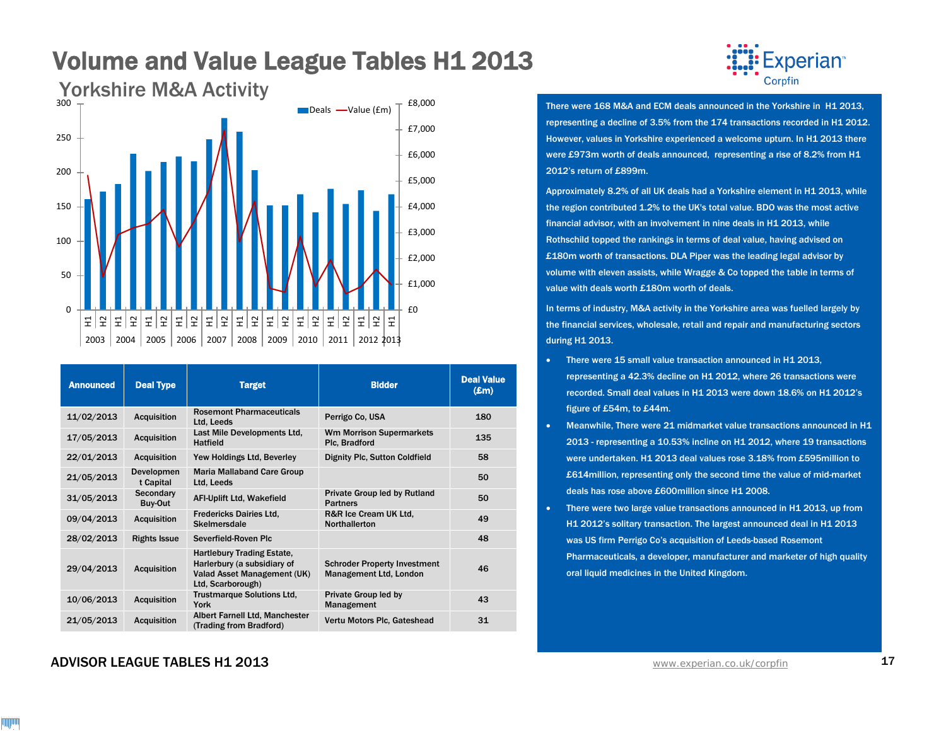

| <b>Announced</b> | <b>Deal Type</b>        | <b>Target</b>                                                                                                        | <b>Bidder</b>                                                        | <b>Deal Value</b><br>$(\pmb{\pounds} \mathbf{m})$ |
|------------------|-------------------------|----------------------------------------------------------------------------------------------------------------------|----------------------------------------------------------------------|---------------------------------------------------|
| 11/02/2013       | <b>Acquisition</b>      | <b>Rosemont Pharmaceuticals</b><br>Ltd, Leeds                                                                        | Perrigo Co. USA                                                      | 180                                               |
| 17/05/2013       | <b>Acquisition</b>      | Last Mile Developments Ltd.<br><b>Hatfield</b>                                                                       | <b>Wm Morrison Supermarkets</b><br>Plc, Bradford                     | 135                                               |
| 22/01/2013       | <b>Acquisition</b>      | Yew Holdings Ltd, Beverley                                                                                           | <b>Dignity Plc, Sutton Coldfield</b>                                 | 58                                                |
| 21/05/2013       | Developmen<br>t Capital | <b>Maria Mallaband Care Group</b><br>Ltd, Leeds                                                                      |                                                                      | 50                                                |
| 31/05/2013       | Secondary<br>Buy-Out    | <b>AFI-Uplift Ltd, Wakefield</b>                                                                                     | Private Group led by Rutland<br><b>Partners</b>                      | 50                                                |
| 09/04/2013       | <b>Acquisition</b>      | <b>Fredericks Dairies Ltd.</b><br>Skelmersdale                                                                       | R&R Ice Cream UK Ltd.<br><b>Northallerton</b>                        | 49                                                |
| 28/02/2013       | <b>Rights Issue</b>     | Severfield-Roven Plc                                                                                                 |                                                                      | 48                                                |
| 29/04/2013       | <b>Acquisition</b>      | <b>Hartlebury Trading Estate,</b><br>Harlerbury (a subsidiary of<br>Valad Asset Management (UK)<br>Ltd, Scarborough) | <b>Schroder Property Investment</b><br><b>Management Ltd, London</b> | 46                                                |
| 10/06/2013       | <b>Acquisition</b>      | <b>Trustmarque Solutions Ltd.</b><br>York                                                                            | Private Group led by<br>Management                                   | 43                                                |
| 21/05/2013       | <b>Acquisition</b>      | Albert Farnell Ltd, Manchester<br>(Trading from Bradford)                                                            | Vertu Motors Plc, Gateshead                                          | 31                                                |



There were 168 M&A and ECM deals announced in the Yorkshire in H1 2013, representing a decline of 3.5% from the 174 transactions recorded in H1 2012. However, values in Yorkshire experienced a welcome upturn. In H1 2013 there were £973m worth of deals announced, representing a rise of 8.2% from H1 2012's return of £899m.

Approximately 8.2% of all UK deals had a Yorkshire element in H1 2013, while the region contributed 1.2% to the UK's total value. BDO was the most active financial advisor, with an involvement in nine deals in H1 2013, while Rothschild topped the rankings in terms of deal value, having advised on £180m worth of transactions. DLA Piper was the leading legal advisor by volume with eleven assists, while Wragge & Co topped the table in terms of value with deals worth £180m worth of deals.

In terms of industry, M&A activity in the Yorkshire area was fuelled largely by the financial services, wholesale, retail and repair and manufacturing sectors during H1 2013.

- There were 15 small value transaction announced in H1 2013, representing a 42.3% decline on H1 2012, where 26 transactions were recorded. Small deal values in H1 2013 were down 18.6% on H1 2012's figure of £54m, to £44m.
- Meanwhile, There were 21 midmarket value transactions announced in H1 2013 - representing a 10.53% incline on H1 2012, where 19 transactions were undertaken. H1 2013 deal values rose 3.18% from £595million to £614million, representing only the second time the value of mid-market deals has rose above £600million since H1 2008.
- There were two large value transactions announced in H1 2013, up from H1 2012's solitary transaction. The largest announced deal in H1 2013 was US firm Perrigo Co's acquisition of Leeds-based Rosemont Pharmaceuticals, a developer, manufacturer and marketer of high quality oral liquid medicines in the United Kingdom.

#### ADVISOR LEAGUE TABLES H1 2013 **ADVISOR LEAGUE TABLES H1 2013**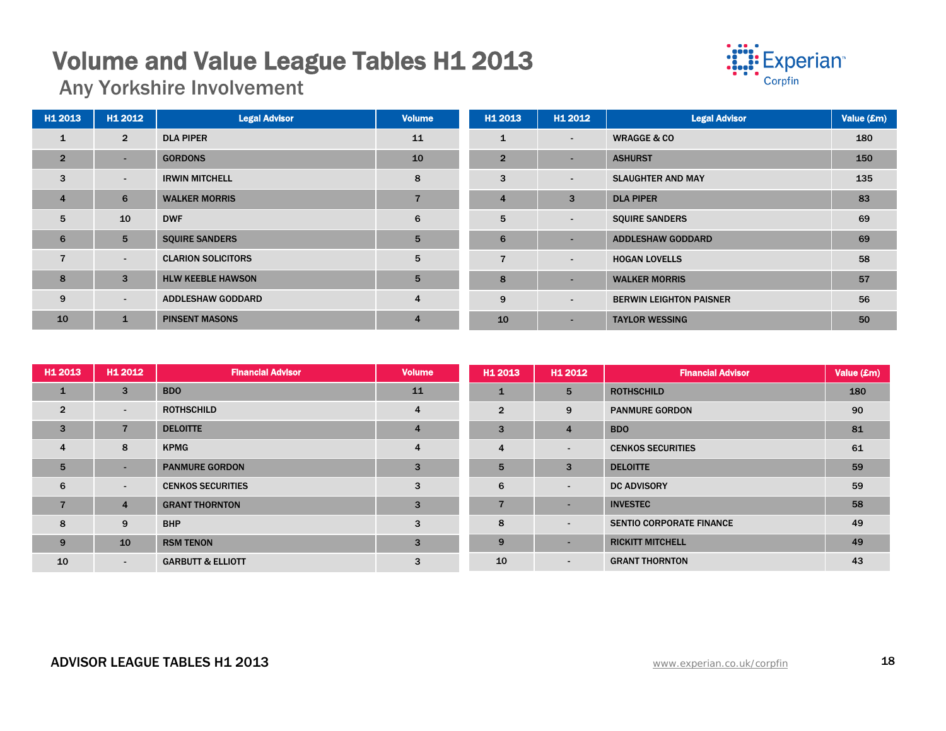## **Volume and Value League Tables H1 2013**<br>Any Yorkshire Involvement



| H1 2013        | H1 2012         | <b>Legal Advisor</b>      | <b>Volume</b>  | H1 2013        | H1 2012                  | <b>Legal Advisor</b>           | Value (£m) |
|----------------|-----------------|---------------------------|----------------|----------------|--------------------------|--------------------------------|------------|
| $\mathbf{1}$   | $\overline{2}$  | <b>DLA PIPER</b>          | 11             | $\mathbf{1}$   | $\sim$                   | <b>WRAGGE &amp; CO</b>         | 180        |
| $\overline{2}$ | $\sim$          | <b>GORDONS</b>            | 10             | $\overline{2}$ | $\overline{\phantom{0}}$ | <b>ASHURST</b>                 | 150        |
| 3              | $\sim$          | <b>IRWIN MITCHELL</b>     | 8              | 3              | $\overline{\phantom{a}}$ | <b>SLAUGHTER AND MAY</b>       | 135        |
| $\overline{4}$ | 6               | <b>WALKER MORRIS</b>      | $\overline{ }$ | $\overline{4}$ | 3                        | <b>DLA PIPER</b>               | 83         |
| 5              | 10              | <b>DWF</b>                | 6              | 5              | $\sim$                   | <b>SQUIRE SANDERS</b>          | 69         |
| 6              | $5\phantom{.0}$ | <b>SQUIRE SANDERS</b>     | 5              | 6              |                          | <b>ADDLESHAW GODDARD</b>       | 69         |
| $\overline{7}$ | $\sim$          | <b>CLARION SOLICITORS</b> | 5              | $\overline{7}$ | $\blacksquare$           | <b>HOGAN LOVELLS</b>           | 58         |
| 8              | $\mathbf{3}$    | <b>HLW KEEBLE HAWSON</b>  | 5              | 8              | $\overline{\phantom{a}}$ | <b>WALKER MORRIS</b>           | 57         |
| 9              | $\sim$          | <b>ADDLESHAW GODDARD</b>  | $\overline{4}$ | 9              | $\blacksquare$           | <b>BERWIN LEIGHTON PAISNER</b> | 56         |
| 10             | $\mathbf{1}$    | <b>PINSENT MASONS</b>     | $\overline{4}$ | 10             | $\overline{\phantom{a}}$ | <b>TAYLOR WESSING</b>          | 50         |

| H1 2013        | H1 2012                  | <b>Financial Advisor</b>     | <b>Volume</b>  | H <sub>1</sub> 2013 | H1 2012                  | <b>Financial Advisor</b>        | Value (£m) |
|----------------|--------------------------|------------------------------|----------------|---------------------|--------------------------|---------------------------------|------------|
| $\mathbf{1}$   | 3                        | <b>BDO</b>                   | 11             | 1                   | 5                        | <b>ROTHSCHILD</b>               | 180        |
| $\overline{2}$ | $\sim$                   | <b>ROTHSCHILD</b>            | 4              | $\overline{2}$      | 9                        | <b>PANMURE GORDON</b>           | 90         |
| $\overline{3}$ | $\overline{7}$           | <b>DELOITTE</b>              | $\overline{4}$ | 3                   | 4                        | <b>BDO</b>                      | 81         |
| $\overline{4}$ | 8                        | <b>KPMG</b>                  | 4              | $\overline{4}$      | $\blacksquare$           | <b>CENKOS SECURITIES</b>        | 61         |
| 5              | $\sim$                   | <b>PANMURE GORDON</b>        | 3              | $5\overline{5}$     | $\overline{3}$           | <b>DELOITTE</b>                 | 59         |
| 6              | $\overline{\phantom{0}}$ | <b>CENKOS SECURITIES</b>     | 3              | 6                   | $\blacksquare$           | <b>DC ADVISORY</b>              | 59         |
| 7              | $\overline{4}$           | <b>GRANT THORNTON</b>        | 3              | $\overline{7}$      |                          | <b>INVESTEC</b>                 | 58         |
| 8              | 9                        | <b>BHP</b>                   | 3              | 8                   | $\overline{\phantom{a}}$ | <b>SENTIO CORPORATE FINANCE</b> | 49         |
| 9              | 10                       | <b>RSM TENON</b>             | 3              | 9                   | $\sim$                   | <b>RICKITT MITCHELL</b>         | 49         |
| 10             | $\sim$                   | <b>GARBUTT &amp; ELLIOTT</b> | 3              | 10                  | $\sim$                   | <b>GRANT THORNTON</b>           | 43         |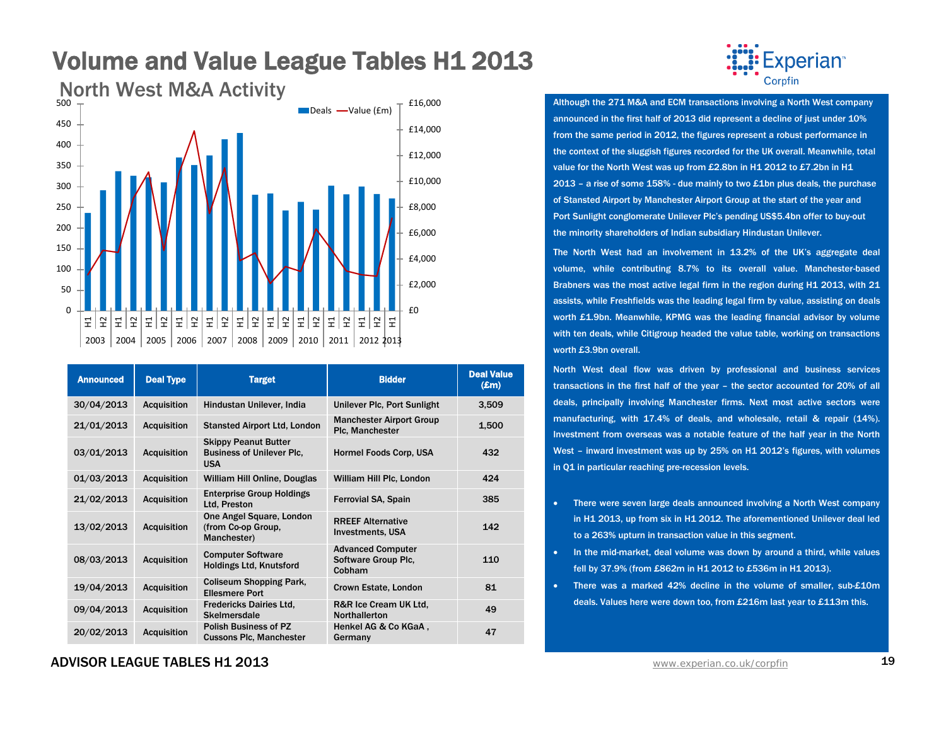

| <b>Announced</b> | <b>Deal Type</b>   | <b>Target</b>                                                                 | <b>Bidder</b>                                             | <b>Deal Value</b><br>$(\pmb{\pounds} \mathbf{m})$ |
|------------------|--------------------|-------------------------------------------------------------------------------|-----------------------------------------------------------|---------------------------------------------------|
| 30/04/2013       | <b>Acquisition</b> | Hindustan Unilever, India                                                     | Unilever Plc, Port Sunlight                               | 3,509                                             |
| 21/01/2013       | <b>Acquisition</b> | <b>Stansted Airport Ltd, London</b>                                           | <b>Manchester Airport Group</b><br>Plc, Manchester        | 1,500                                             |
| 03/01/2013       | <b>Acquisition</b> | <b>Skippy Peanut Butter</b><br><b>Business of Unilever Plc.</b><br><b>USA</b> | <b>Hormel Foods Corp, USA</b>                             | 432                                               |
| 01/03/2013       | <b>Acquisition</b> | William Hill Online, Douglas                                                  | William Hill Plc, London                                  | 424                                               |
| 21/02/2013       | <b>Acquisition</b> | <b>Enterprise Group Holdings</b><br>Ltd, Preston                              | <b>Ferrovial SA, Spain</b>                                | 385                                               |
| 13/02/2013       | <b>Acquisition</b> | One Angel Square, London<br>(from Co-op Group,<br>Manchester)                 | <b>RREEF Alternative</b><br><b>Investments, USA</b>       | 142                                               |
| 08/03/2013       | <b>Acquisition</b> | <b>Computer Software</b><br><b>Holdings Ltd, Knutsford</b>                    | <b>Advanced Computer</b><br>Software Group Plc.<br>Cobham | 110                                               |
| 19/04/2013       | <b>Acquisition</b> | <b>Coliseum Shopping Park,</b><br><b>Ellesmere Port</b>                       | Crown Estate, London                                      | 81                                                |
| 09/04/2013       | <b>Acquisition</b> | <b>Fredericks Dairies Ltd.</b><br>Skelmersdale                                | R&R Ice Cream UK Ltd.<br><b>Northallerton</b>             | 49                                                |
| 20/02/2013       | <b>Acquisition</b> | <b>Polish Business of PZ</b><br><b>Cussons Plc, Manchester</b>                | Henkel AG & Co KGaA,<br>Germany                           | 47                                                |

## **Experian**<sup>®</sup>

announced in the first half of 2013 did represent a decline of just under 10% from the same period in 2012, the figures represent a robust performance in the context of the sluggish figures recorded for the UK overall. Meanwhile, total value for the North West was up from £2.8bn in H1 2012 to £7.2bn in H1 2013 – a rise of some 158% - due mainly to two £1bn plus deals, the purchase of Stansted Airport by Manchester Airport Group at the start of the year and Port Sunlight conglomerate Unilever Plc's pending US\$5.4bn offer to buy-out the minority shareholders of Indian subsidiary Hindustan Unilever.

The North West had an involvement in 13.2% of the UK's aggregate deal volume, while contributing 8.7% to its overall value. Manchester-based Brabners was the most active legal firm in the region during H1 2013, with 21 assists, while Freshfields was the leading legal firm by value, assisting on deals worth £1.9bn. Meanwhile, KPMG was the leading financial advisor by volume with ten deals, while Citigroup headed the value table, working on transactions worth £3.9bn overall.

North West deal flow was driven by professional and business services transactions in the first half of the year – the sector accounted for 20% of all deals, principally involving Manchester firms. Next most active sectors were manufacturing, with 17.4% of deals, and wholesale, retail & repair (14%). Investment from overseas was a notable feature of the half year in the North West – inward investment was up by 25% on H1 2012's figures, with volumes in Q1 in particular reaching pre-recession levels.

- There were seven large deals announced involving a North West company in H1 2013, up from six in H1 2012. The aforementioned Unilever deal led to a 263% upturn in transaction value in this segment.
- In the mid-market, deal volume was down by around a third, while values fell by 37.9% (from £862m in H1 2012 to £536m in H1 2013).
- There was a marked 42% decline in the volume of smaller, sub-£10m deals. Values here were down too, from £216m last year to £113m this.

#### ADVISOR LEAGUE TABLES H1 2013 **and a straight and a straight and a straight and a straight and a straight and a**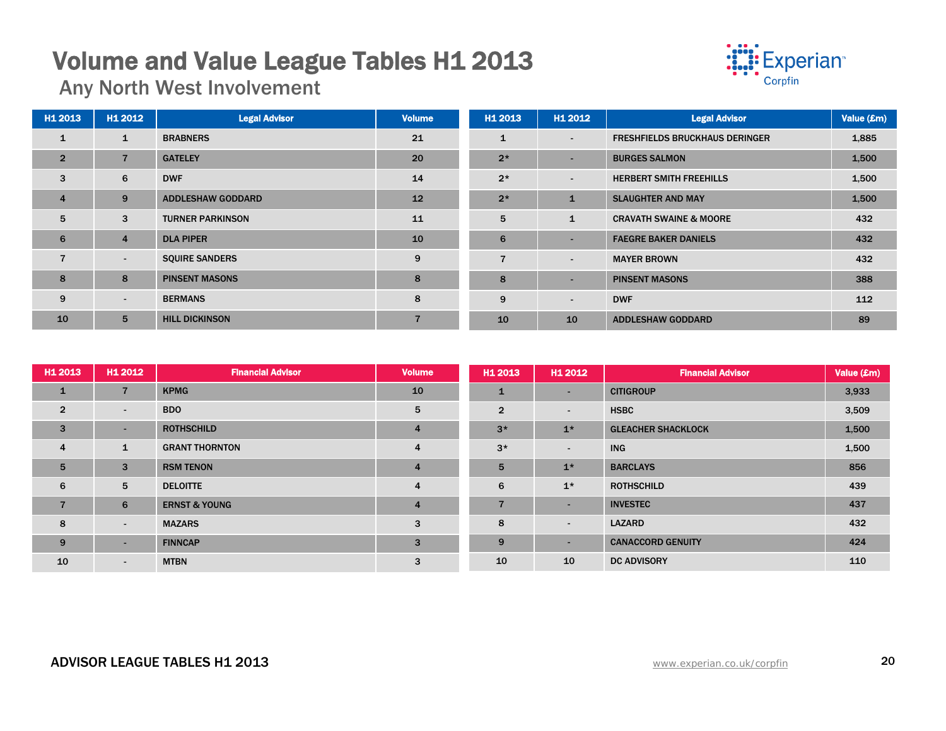## **Volume and Value League Tables H1 2013**<br>Any North West Involvement



| H <sub>1</sub> 2013 | H1 2012        | <b>Legal Advisor</b>     | Volume | H1 2013        | H1 2012                  | <b>Legal Advisor</b>                  | Value (£m) |
|---------------------|----------------|--------------------------|--------|----------------|--------------------------|---------------------------------------|------------|
| $\mathbf{1}$        | $\mathbf{1}$   | <b>BRABNERS</b>          | 21     | $\mathbf{1}$   | $\overline{\phantom{a}}$ | <b>FRESHFIELDS BRUCKHAUS DERINGER</b> | 1,885      |
| $\overline{2}$      | $\overline{7}$ | <b>GATELEY</b>           | 20     | $2*$           | $\blacksquare$           | <b>BURGES SALMON</b>                  | 1,500      |
| 3                   | 6              | <b>DWF</b>               | 14     | $2*$           | $\overline{\phantom{a}}$ | <b>HERBERT SMITH FREEHILLS</b>        | 1,500      |
| $\overline{4}$      | 9              | <b>ADDLESHAW GODDARD</b> | 12     | $2*$           | $\mathbf{1}$             | <b>SLAUGHTER AND MAY</b>              | 1,500      |
| 5                   | 3              | <b>TURNER PARKINSON</b>  | 11     | 5              | $\mathbf{1}$             | <b>CRAVATH SWAINE &amp; MOORE</b>     | 432        |
| 6                   | $\overline{4}$ | <b>DLA PIPER</b>         | 10     | 6              | $\blacksquare$           | <b>FAEGRE BAKER DANIELS</b>           | 432        |
| $\overline{7}$      | $\sim$         | <b>SQUIRE SANDERS</b>    | 9      | $\overline{7}$ | $\overline{\phantom{0}}$ | <b>MAYER BROWN</b>                    | 432        |
| 8                   | 8              | <b>PINSENT MASONS</b>    | 8      | 8              | $\overline{\phantom{0}}$ | <b>PINSENT MASONS</b>                 | 388        |
| 9                   | $\sim$         | <b>BERMANS</b>           | 8      | 9              | $\overline{\phantom{0}}$ | <b>DWF</b>                            | 112        |
| 10                  | $5^{\circ}$    | <b>HILL DICKINSON</b>    |        | 10             | 10                       | <b>ADDLESHAW GODDARD</b>              | 89         |

| H1 2013         | H1 2012        | <b>Financial Advisor</b> | <b>Volume</b>  | H1 2013        | H <sub>1</sub> 2012      | <b>Financial Advisor</b>  | Value (£m) |
|-----------------|----------------|--------------------------|----------------|----------------|--------------------------|---------------------------|------------|
| $\mathbf{1}$    | $\overline{7}$ | <b>KPMG</b>              | 10             | $\mathbf{1}$   | $\sim$                   | <b>CITIGROUP</b>          | 3,933      |
| $\overline{2}$  | $\sim$         | <b>BDO</b>               | 5              | $\overline{2}$ | $\overline{\phantom{a}}$ | <b>HSBC</b>               | 3,509      |
| 3               | $\sim$         | <b>ROTHSCHILD</b>        | 4              | $3*$           | $1*$                     | <b>GLEACHER SHACKLOCK</b> | 1,500      |
| $\overline{4}$  | $\mathbf{1}$   | <b>GRANT THORNTON</b>    | 4              | $3*$           | $\overline{\phantom{a}}$ | <b>ING</b>                | 1,500      |
| $5\overline{5}$ | 3              | <b>RSM TENON</b>         | $\overline{4}$ | 5              | $1*$                     | <b>BARCLAYS</b>           | 856        |
| 6               | 5              | <b>DELOITTE</b>          | 4              | 6              | $1*$                     | <b>ROTHSCHILD</b>         | 439        |
| 7               | 6              | <b>ERNST &amp; YOUNG</b> | 4              | $\overline{7}$ | $\sim$                   | <b>INVESTEC</b>           | 437        |
| 8               | $\sim$         | <b>MAZARS</b>            | 3              | 8              | $\sim$                   | <b>LAZARD</b>             | 432        |
| 9               | <b>умера</b>   | <b>FINNCAP</b>           | 3              | 9              | $\sim$                   | <b>CANACCORD GENUITY</b>  | 424        |
| 10              | $\sim$         | <b>MTBN</b>              | 3              | 10             | 10                       | <b>DC ADVISORY</b>        | 110        |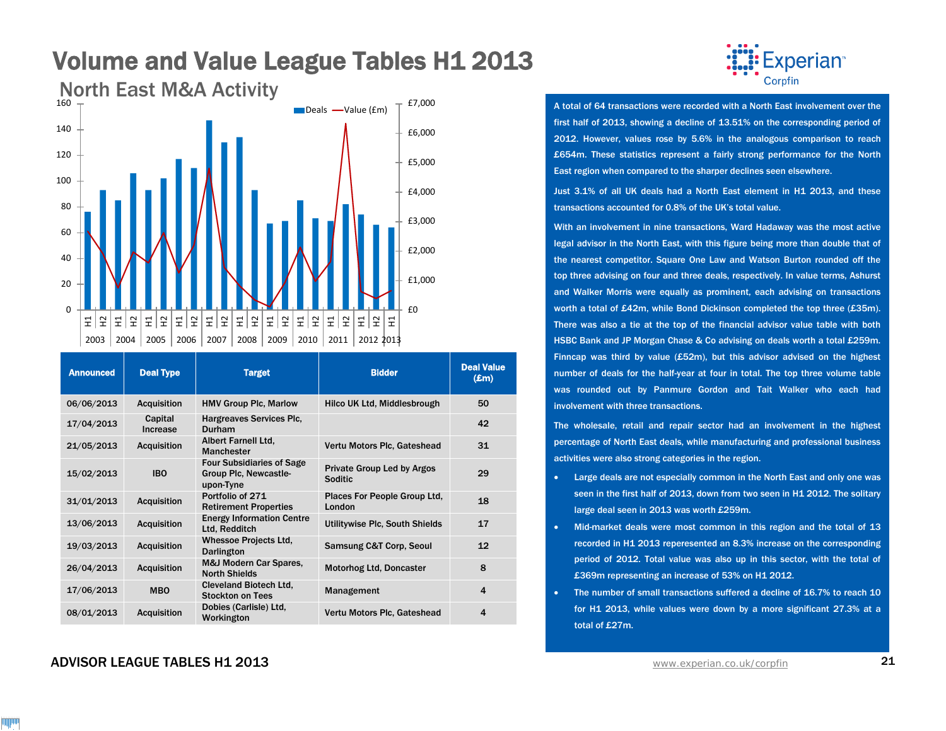

| <b>Announced</b> | <b>Deal Type</b>    | <b>Target</b>                                                          | <b>Bidder</b>                                | <b>Deal Value</b><br>$(\mathbf{Em})$ |
|------------------|---------------------|------------------------------------------------------------------------|----------------------------------------------|--------------------------------------|
| 06/06/2013       | <b>Acquisition</b>  | <b>HMV Group Plc, Marlow</b>                                           | Hilco UK Ltd, Middlesbrough                  | 50                                   |
| 17/04/2013       | Capital<br>Increase | Hargreaves Services Plc,<br><b>Durham</b>                              |                                              | 42                                   |
| 21/05/2013       | <b>Acquisition</b>  | Albert Farnell Ltd,<br>Manchester                                      | Vertu Motors Plc, Gateshead                  | 31                                   |
| 15/02/2013       | <b>IBO</b>          | <b>Four Subsidiaries of Sage</b><br>Group Plc, Newcastle-<br>upon-Tyne | Private Group Led by Argos<br><b>Soditic</b> | 29                                   |
| 31/01/2013       | <b>Acquisition</b>  | Portfolio of 271<br><b>Retirement Properties</b>                       | Places For People Group Ltd.<br>London       | 18                                   |
| 13/06/2013       | <b>Acquisition</b>  | <b>Energy Information Centre</b><br>Ltd, Redditch                      | Utilitywise Plc, South Shields               | 17                                   |
| 19/03/2013       | <b>Acquisition</b>  | <b>Whessoe Projects Ltd,</b><br><b>Darlington</b>                      | <b>Samsung C&amp;T Corp, Seoul</b>           | 12                                   |
| 26/04/2013       | <b>Acquisition</b>  | <b>M&amp;J Modern Car Spares,</b><br><b>North Shields</b>              | <b>Motorhog Ltd, Doncaster</b>               | 8                                    |
| 17/06/2013       | <b>MBO</b>          | <b>Cleveland Biotech Ltd.</b><br><b>Stockton on Tees</b>               | Management                                   | $\overline{\mathbf{4}}$              |
| 08/01/2013       | <b>Acquisition</b>  | Dobies (Carlisle) Ltd,<br>Workington                                   | Vertu Motors Plc, Gateshead                  | $\overline{\mathbf{4}}$              |

#### ADVISOR LEAGUE TABLES H1 2013 [www.experian.co.uk/corpfin](http://www.experian.co.uk/corpfin) 21



A total of 64 transactions were recorded with a North East involvement over the first half of 2013, showing a decline of 13.51% on the corresponding period of 2012. However, values rose by 5.6% in the analogous comparison to reach £654m. These statistics represent a fairly strong performance for the North East region when compared to the sharper declines seen elsewhere.

Just 3.1% of all UK deals had a North East element in H1 2013, and these transactions accounted for 0.8% of the UK's total value.

With an involvement in nine transactions, Ward Hadaway was the most active legal advisor in the North East, with this figure being more than double that of the nearest competitor. Square One Law and Watson Burton rounded off the top three advising on four and three deals, respectively. In value terms, Ashurst and Walker Morris were equally as prominent, each advising on transactions worth a total of £42m, while Bond Dickinson completed the top three (£35m). There was also a tie at the top of the financial advisor value table with both HSBC Bank and JP Morgan Chase & Co advising on deals worth a total £259m. Finncap was third by value (£52m), but this advisor advised on the highest number of deals for the half-year at four in total. The top three volume table was rounded out by Panmure Gordon and Tait Walker who each had involvement with three transactions.

The wholesale, retail and repair sector had an involvement in the highest percentage of North East deals, while manufacturing and professional business activities were also strong categories in the region.

- Large deals are not especially common in the North East and only one was seen in the first half of 2013, down from two seen in H1 2012. The solitary large deal seen in 2013 was worth £259m.
- Mid-market deals were most common in this region and the total of 13 recorded in H1 2013 reperesented an 8.3% increase on the corresponding period of 2012. Total value was also up in this sector, with the total of £369m representing an increase of 53% on H1 2012.
- The number of small transactions suffered a decline of 16.7% to reach 10 for H1 2013, while values were down by a more significant 27.3% at a total of £27m.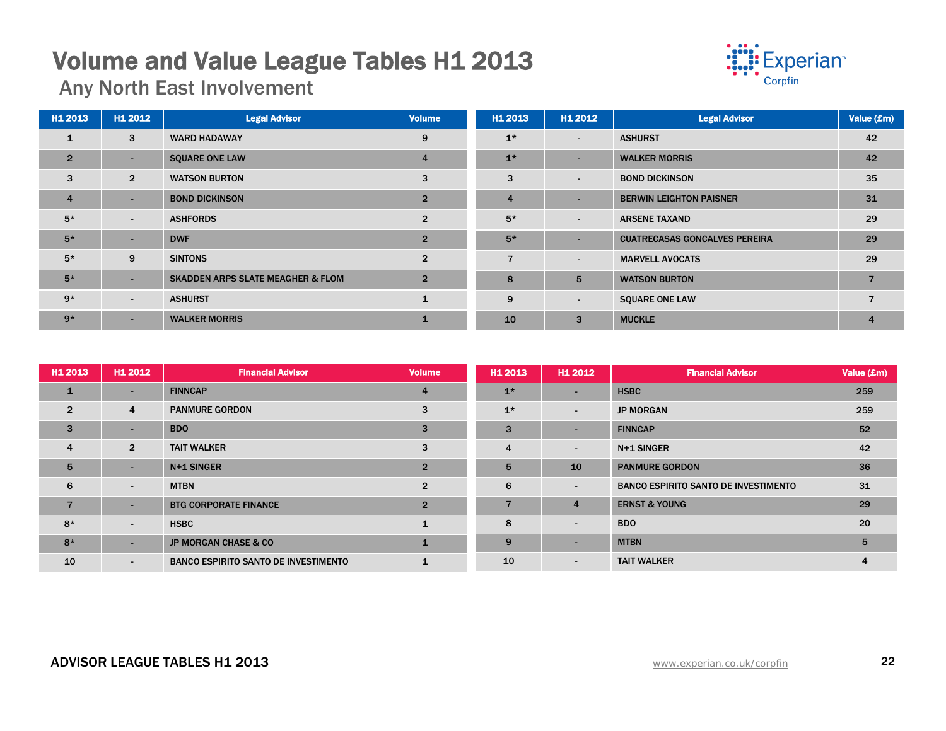## **Volume and Value League Tables H1 2013**<br>Any North East Involvement



| H1 2013        | H1 2012                  | <b>Legal Advisor</b>                         | <b>Volume</b>  | H1 2013        | H1 2012                  | <b>Legal Advisor</b>                 | Value (£m) |
|----------------|--------------------------|----------------------------------------------|----------------|----------------|--------------------------|--------------------------------------|------------|
| $\mathbf{1}$   | 3                        | <b>WARD HADAWAY</b>                          | 9              | $1*$           | $\overline{\phantom{a}}$ | <b>ASHURST</b>                       | 42         |
| $\overline{2}$ | $\overline{\phantom{a}}$ | <b>SQUARE ONE LAW</b>                        | $\overline{4}$ | $1*$           | $\overline{\phantom{0}}$ | <b>WALKER MORRIS</b>                 | 42         |
| 3              | $\overline{2}$           | <b>WATSON BURTON</b>                         | 3              | 3              | $\overline{\phantom{a}}$ | <b>BOND DICKINSON</b>                | 35         |
| $\overline{4}$ | $\overline{\phantom{a}}$ | <b>BOND DICKINSON</b>                        | $\overline{2}$ | $\overline{4}$ | $\overline{\phantom{0}}$ | <b>BERWIN LEIGHTON PAISNER</b>       | 31         |
| $5*$           | $\sim$                   | <b>ASHFORDS</b>                              | $\overline{2}$ | $5*$           | $\overline{\phantom{a}}$ | <b>ARSENE TAXAND</b>                 | 29         |
| $5*$           | ۰.                       | <b>DWF</b>                                   | $\overline{2}$ | $5*$           | $\overline{\phantom{0}}$ | <b>CUATRECASAS GONCALVES PEREIRA</b> | 29         |
| $5*$           | 9                        | <b>SINTONS</b>                               | $\overline{2}$ | $\overline{7}$ | $\overline{\phantom{a}}$ | <b>MARVELL AVOCATS</b>               | 29         |
| $5*$           | ۰.                       | <b>SKADDEN ARPS SLATE MEAGHER &amp; FLOM</b> | $\overline{2}$ | 8              | 5                        | <b>WATSON BURTON</b>                 |            |
| $9*$           | $\sim$                   | <b>ASHURST</b>                               | $\mathbf{1}$   | 9              | $\overline{\phantom{a}}$ | <b>SQUARE ONE LAW</b>                |            |
| $9*$           | <b>.</b>                 | <b>WALKER MORRIS</b>                         |                | 10             | 3                        | <b>MUCKLE</b>                        | 4          |

| H1 2013        | H1 2012                  | <b>Financial Advisor</b>                    | <b>Volume</b>  | H1 2013        | H1 2012                  | <b>Financial Advisor</b>                    | Value (£m)     |
|----------------|--------------------------|---------------------------------------------|----------------|----------------|--------------------------|---------------------------------------------|----------------|
| $\mathbf{1}$   |                          | <b>FINNCAP</b>                              | $\overline{4}$ | $1*$           | $\sim$                   | <b>HSBC</b>                                 | 259            |
| $\overline{2}$ | $\overline{4}$           | <b>PANMURE GORDON</b>                       | 3              | $1*$           | $\sim$                   | <b>JP MORGAN</b>                            | 259            |
| 3              | -                        | <b>BDO</b>                                  | 3              | $\overline{3}$ | $\sim$                   | <b>FINNCAP</b>                              | 52             |
| $\overline{4}$ | $\overline{2}$           | <b>TAIT WALKER</b>                          | 3              | $\overline{4}$ | $\blacksquare$           | N+1 SINGER                                  | 42             |
| 5              |                          | N+1 SINGER                                  | $\overline{2}$ | 5              | 10                       | <b>PANMURE GORDON</b>                       | 36             |
| 6              | $\overline{\phantom{a}}$ | <b>MTBN</b>                                 | $\overline{2}$ | 6              | $\overline{\phantom{a}}$ | <b>BANCO ESPIRITO SANTO DE INVESTIMENTO</b> | 31             |
| $\overline{7}$ | -                        | <b>BTG CORPORATE FINANCE</b>                | $\overline{2}$ |                | $\overline{4}$           | <b>ERNST &amp; YOUNG</b>                    | 29             |
| $8*$           | $\blacksquare$           | <b>HSBC</b>                                 |                | 8              | $\sim$                   | <b>BDO</b>                                  | 20             |
| $8*$           |                          | <b>JP MORGAN CHASE &amp; CO</b>             | $\mathbf 1$    | 9              | $\sim$                   | <b>MTBN</b>                                 | 5              |
| 10             | ۰.                       | <b>BANCO ESPIRITO SANTO DE INVESTIMENTO</b> |                | 10             | $\blacksquare$           | <b>TAIT WALKER</b>                          | $\overline{4}$ |

#### ADVISOR LEAGUE TABLES H1 2013 22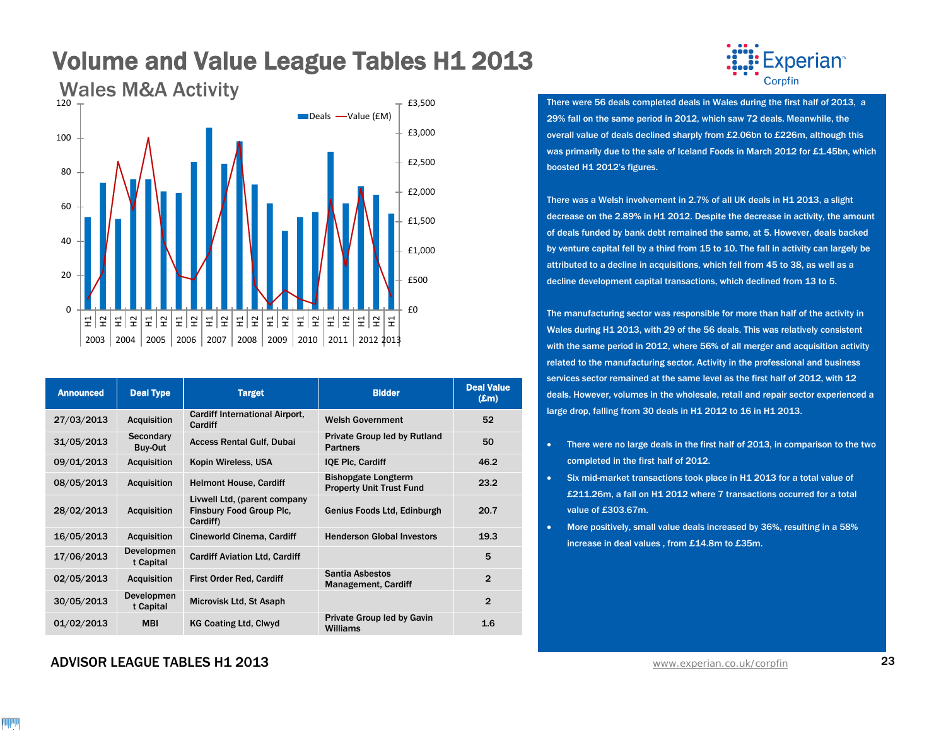

| <b>Announced</b> | <b>Deal Type</b>        | <b>Target</b>                                                               | <b>Bidder</b>                                                 | <b>Deal Value</b><br>$(\mathbf{Em})$ |
|------------------|-------------------------|-----------------------------------------------------------------------------|---------------------------------------------------------------|--------------------------------------|
| 27/03/2013       | <b>Acquisition</b>      | <b>Cardiff International Airport,</b><br>Cardiff                            | <b>Welsh Government</b>                                       | 52                                   |
| 31/05/2013       | Secondary<br>Buy-Out    | <b>Access Rental Gulf, Dubai</b>                                            | Private Group led by Rutland<br><b>Partners</b>               | 50                                   |
| 09/01/2013       | <b>Acquisition</b>      | Kopin Wireless, USA                                                         | <b>IQE PIc. Cardiff</b>                                       | 46.2                                 |
| 08/05/2013       | <b>Acquisition</b>      | <b>Helmont House, Cardiff</b>                                               | <b>Bishopgate Longterm</b><br><b>Property Unit Trust Fund</b> | 23.2                                 |
| 28/02/2013       | <b>Acquisition</b>      | Livwell Ltd. (parent company<br><b>Finsbury Food Group Plc.</b><br>Cardiff) | Genius Foods Ltd, Edinburgh                                   | 20.7                                 |
| 16/05/2013       | <b>Acquisition</b>      | Cineworld Cinema, Cardiff                                                   | <b>Henderson Global Investors</b>                             | 19.3                                 |
| 17/06/2013       | Developmen<br>t Capital | <b>Cardiff Aviation Ltd, Cardiff</b>                                        |                                                               | 5                                    |
| 02/05/2013       | <b>Acquisition</b>      | <b>First Order Red, Cardiff</b>                                             | Santia Asbestos<br><b>Management, Cardiff</b>                 | $\overline{2}$                       |
| 30/05/2013       | Developmen<br>t Capital | Microvisk Ltd, St Asaph                                                     |                                                               | $\overline{2}$                       |
| 01/02/2013       | <b>MBI</b>              | <b>KG Coating Ltd. Clwyd</b>                                                | Private Group led by Gavin<br>Williams                        | 1.6                                  |



29% fall on the same period in 2012, which saw 72 deals. Meanwhile, the overall value of deals declined sharply from £2.06bn to £226m, although this was primarily due to the sale of Iceland Foods in March 2012 for £1.45bn, which boosted H1 2012's figures.

There was a Welsh involvement in 2.7% of all UK deals in H1 2013, a slight decrease on the 2.89% in H1 2012. Despite the decrease in activity, the amount of deals funded by bank debt remained the same, at 5. However, deals backed by venture capital fell by a third from 15 to 10. The fall in activity can largely be attributed to a decline in acquisitions, which fell from 45 to 38, as well as a decline development capital transactions, which declined from 13 to 5.

The manufacturing sector was responsible for more than half of the activity in Wales during H1 2013, with 29 of the 56 deals. This was relatively consistent with the same period in 2012, where 56% of all merger and acquisition activity related to the manufacturing sector. Activity in the professional and business services sector remained at the same level as the first half of 2012, with 12 deals. However, volumes in the wholesale, retail and repair sector experienced a large drop, falling from 30 deals in H1 2012 to 16 in H1 2013.

- There were no large deals in the first half of 2013, in comparison to the two completed in the first half of 2012.
- Six mid-market transactions took place in H1 2013 for a total value of £211.26m, a fall on H1 2012 where 7 transactions occurred for a total value of £303.67m.
- More positively, small value deals increased by 36%, resulting in a 58% increase in deal values , from £14.8m to £35m.

#### ADVISOR LEAGUE TABLES H1 2013 23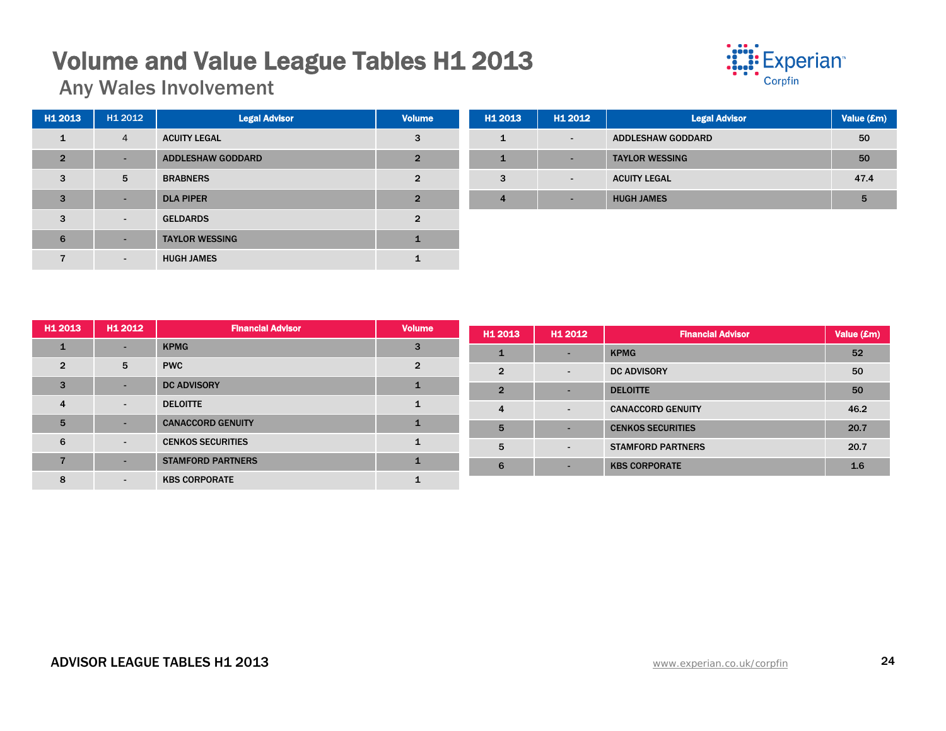## **Volume and Value League Tables H1 2013**<br>Any Wales Involvement



| H1 2013        | H1 2012        | <b>Legal Advisor</b>     | <b>Volume</b>  | H <sub>1</sub> 20 |
|----------------|----------------|--------------------------|----------------|-------------------|
| 1              | $\overline{4}$ | <b>ACUITY LEGAL</b>      | 3              | 1                 |
| $\overline{2}$ | -              | <b>ADDLESHAW GODDARD</b> | $\overline{2}$ | 1                 |
| 3              | 5              | <b>BRABNERS</b>          | $\overline{2}$ | 3                 |
| 3              |                | <b>DLA PIPER</b>         | $\overline{2}$ | $\overline{4}$    |
| 3              | $\overline{a}$ | <b>GELDARDS</b>          | $\mathfrak{p}$ |                   |
| 6              | ۰              | <b>TAYLOR WESSING</b>    | 1              |                   |
|                |                | <b>HUGH JAMES</b>        |                |                   |

| H <sub>1</sub> 2013 | H1 2012                  | <b>Legal Advisor</b>     | Value (£m) |
|---------------------|--------------------------|--------------------------|------------|
|                     | $\overline{\phantom{a}}$ | <b>ADDLESHAW GODDARD</b> | 50         |
|                     | ٠                        | <b>TAYLOR WESSING</b>    | 50         |
| 3                   | $\overline{\phantom{a}}$ | <b>ACUITY LEGAL</b>      | 47.4       |
| 4                   | -                        | <b>HUGH JAMES</b>        | 5          |

| H <sub>1</sub> 2013 | H1 2012 | <b>Financial Advisor</b> | <b>Volume</b>  | H <sub>1</sub> 2013 | H1 2012                  | <b>Financial Advisor</b> | Value (£m) |  |  |
|---------------------|---------|--------------------------|----------------|---------------------|--------------------------|--------------------------|------------|--|--|
|                     | -       | <b>KPMG</b>              | 3              |                     |                          | <b>KPMG</b>              | 52         |  |  |
| $\overline{2}$      | 5       | <b>PWC</b>               | $\overline{2}$ | $\overline{2}$      |                          | <b>DC ADVISORY</b>       | 50         |  |  |
| 3                   | -       | <b>DC ADVISORY</b>       |                | $\overline{2}$      |                          | <b>DELOITTE</b>          | 50         |  |  |
| 4                   |         | <b>DELOITTE</b>          |                | 4                   | $\overline{\phantom{0}}$ | <b>CANACCORD GENUITY</b> | 46.2       |  |  |
| 5                   | -       | <b>CANACCORD GENUITY</b> | $\mathbf{1}$   | 5                   |                          | <b>CENKOS SECURITIES</b> | 20.7       |  |  |
| 6                   | $\sim$  | <b>CENKOS SECURITIES</b> |                | 5                   |                          | <b>STAMFORD PARTNERS</b> | 20.7       |  |  |
|                     | -       | <b>STAMFORD PARTNERS</b> | 1              | 6                   |                          | <b>KBS CORPORATE</b>     | 1.6        |  |  |
| 8                   |         | <b>KBS CORPORATE</b>     |                |                     |                          |                          |            |  |  |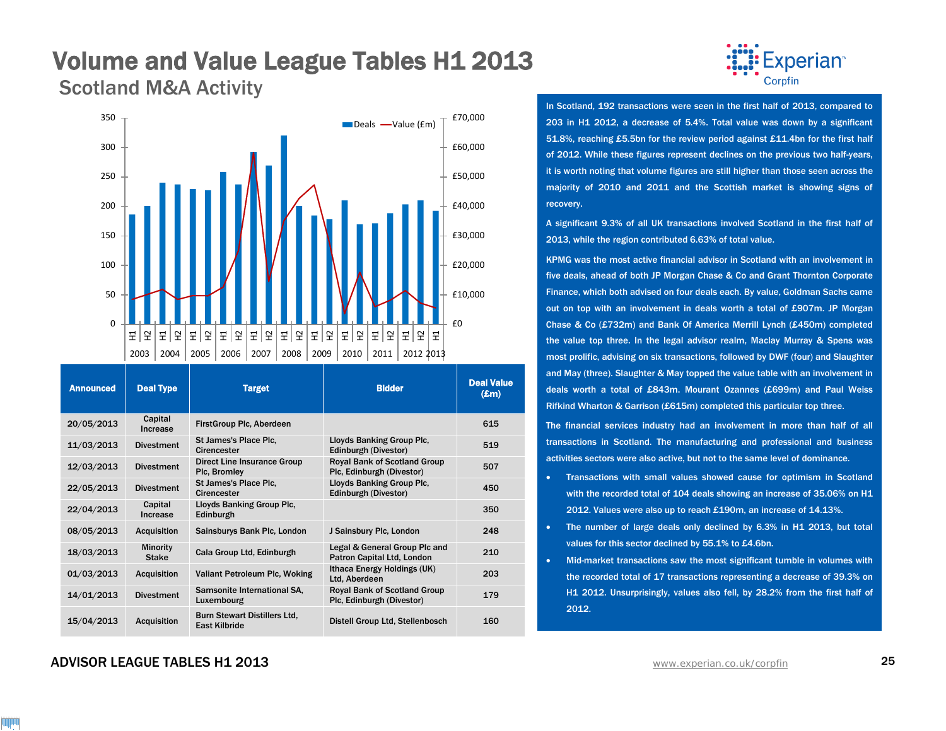## **Volume and Value League Tables H1 2013**<br>Scotland M&A Activity



| <b>Announced</b> | <b>Deal Type</b>                | <b>Target</b>                                               | <b>Bidder</b>                                                    | <b>Deal Value</b><br>$(\mathbf{E}$ m $)$ |
|------------------|---------------------------------|-------------------------------------------------------------|------------------------------------------------------------------|------------------------------------------|
| 20/05/2013       | Capital<br>Increase             | <b>FirstGroup Plc, Aberdeen</b>                             |                                                                  | 615                                      |
| 11/03/2013       | <b>Divestment</b>               | St James's Place Plc.<br>Cirencester                        | Lloyds Banking Group Plc.<br>Edinburgh (Divestor)                | 519                                      |
| 12/03/2013       | <b>Divestment</b>               | Direct Line Insurance Group<br>Plc, Bromley                 | <b>Royal Bank of Scotland Group</b><br>Plc, Edinburgh (Divestor) | 507                                      |
| 22/05/2013       | <b>Divestment</b>               | St James's Place Plc.<br>Cirencester                        | Lloyds Banking Group Plc.<br>Edinburgh (Divestor)                | 450                                      |
| 22/04/2013       | Capital<br>Increase             | Lloyds Banking Group Plc.<br>Edinburgh                      |                                                                  | 350                                      |
| 08/05/2013       | <b>Acquisition</b>              | Sainsburys Bank Plc, London                                 | J Sainsbury Plc, London                                          | 248                                      |
| 18/03/2013       | <b>Minority</b><br><b>Stake</b> | Cala Group Ltd, Edinburgh                                   | Legal & General Group Plc and<br>Patron Capital Ltd, London      | 210                                      |
| 01/03/2013       | <b>Acquisition</b>              | Valiant Petroleum Plc, Woking                               | Ithaca Energy Holdings (UK)<br>Ltd, Aberdeen                     | 203                                      |
| 14/01/2013       | <b>Divestment</b>               | Samsonite International SA,<br>Luxembourg                   | <b>Royal Bank of Scotland Group</b><br>Plc, Edinburgh (Divestor) | 179                                      |
| 15/04/2013       | <b>Acquisition</b>              | <b>Burn Stewart Distillers Ltd.</b><br><b>East Kilbride</b> | Distell Group Ltd, Stellenbosch                                  | 160                                      |

### ADVISOR LEAGUE TABLES H1 2013 [www.experian.co.uk/corpfin](http://www.experian.co.uk/corpfin) 25



In Scotland, 192 transactions were seen in the first half of 2013, compared to 203 in H1 2012, a decrease of 5.4%. Total value was down by a significant 51.8%, reaching £5.5bn for the review period against £11.4bn for the first half of 2012. While these figures represent declines on the previous two half-years, it is worth noting that volume figures are still higher than those seen across the majority of 2010 and 2011 and the Scottish market is showing signs of recovery.

A significant 9.3% of all UK transactions involved Scotland in the first half of 2013, while the region contributed 6.63% of total value.

KPMG was the most active financial advisor in Scotland with an involvement in five deals, ahead of both JP Morgan Chase & Co and Grant Thornton Corporate Finance, which both advised on four deals each. By value, Goldman Sachs came out on top with an involvement in deals worth a total of £907m. JP Morgan Chase & Co (£732m) and Bank Of America Merrill Lynch (£450m) completed the value top three. In the legal advisor realm, Maclay Murray & Spens was most prolific, advising on six transactions, followed by DWF (four) and Slaughter and May (three). Slaughter & May topped the value table with an involvement in deals worth a total of £843m. Mourant Ozannes (£699m) and Paul Weiss Rifkind Wharton & Garrison (£615m) completed this particular top three.

The financial services industry had an involvement in more than half of all transactions in Scotland. The manufacturing and professional and business activities sectors were also active, but not to the same level of dominance.

- Transactions with small values showed cause for optimism in Scotland with the recorded total of 104 deals showing an increase of 35.06% on H1 2012. Values were also up to reach £190m, an increase of 14.13%.
- The number of large deals only declined by 6.3% in H1 2013, but total values for this sector declined by 55.1% to £4.6bn.
- Mid-market transactions saw the most significant tumble in volumes with the recorded total of 17 transactions representing a decrease of 39.3% on H1 2012. Unsurprisingly, values also fell, by 28.2% from the first half of 2012.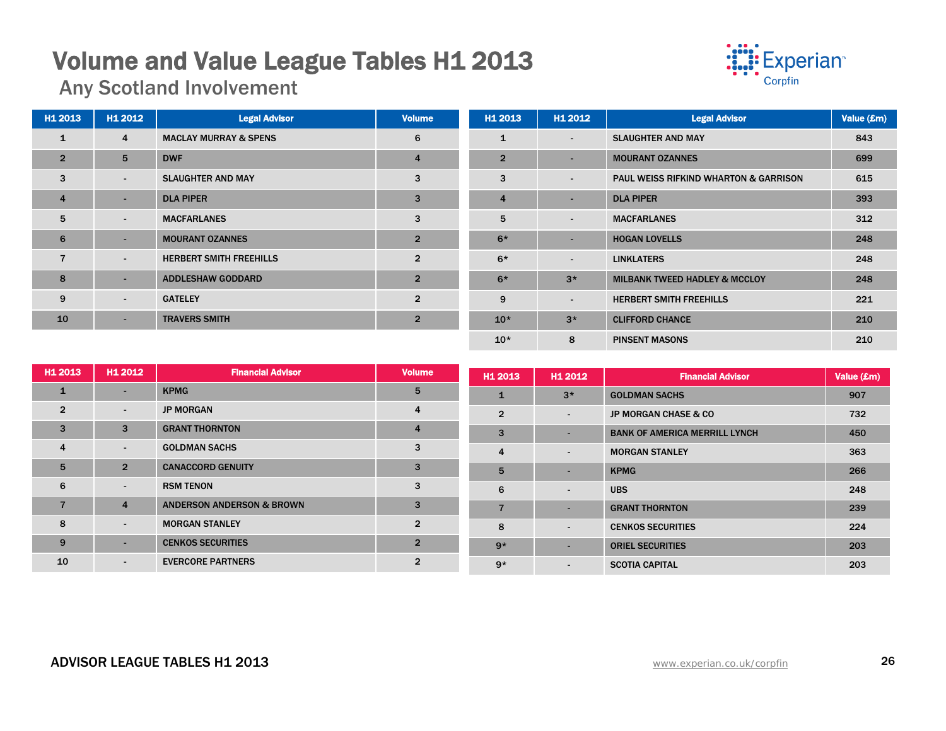## **Volume and Value League Tables H1 2013**<br>Any Scotland Involvement



| H1 2013        | H1 2012                  | <b>Legal Advisor</b>             | <b>Volume</b>  | H1 2013        | H1 2012        | <b>Legal Advisor</b>                             | Value (£m) |
|----------------|--------------------------|----------------------------------|----------------|----------------|----------------|--------------------------------------------------|------------|
| $\mathbf{1}$   | 4                        | <b>MACLAY MURRAY &amp; SPENS</b> | 6              | $\mathbf{1}$   | $\blacksquare$ | <b>SLAUGHTER AND MAY</b>                         | 843        |
| $\overline{2}$ | 5                        | <b>DWF</b>                       | $\overline{4}$ | $\overline{2}$ | $\sim$         | <b>MOURANT OZANNES</b>                           | 699        |
| 3              | $\sim$                   | <b>SLAUGHTER AND MAY</b>         | 3              | 3              | $\blacksquare$ | <b>PAUL WEISS RIFKIND WHARTON &amp; GARRISON</b> | 615        |
| $\overline{4}$ | $\overline{\phantom{a}}$ | <b>DLA PIPER</b>                 | 3              | $\overline{4}$ | $\sim$         | <b>DLA PIPER</b>                                 | 393        |
| 5              | $\sim$                   | <b>MACFARLANES</b>               | 3              | 5              | $\blacksquare$ | <b>MACFARLANES</b>                               | 312        |
| 6              |                          | <b>MOURANT OZANNES</b>           | $\overline{2}$ | $6*$           | ۰.             | <b>HOGAN LOVELLS</b>                             | 248        |
| $\overline{7}$ | $\sim$                   | <b>HERBERT SMITH FREEHILLS</b>   | $\overline{2}$ | $6*$           | $\sim$         | <b>LINKLATERS</b>                                | 248        |
| 8              |                          | <b>ADDLESHAW GODDARD</b>         | $\overline{2}$ | $6*$           | $3*$           | <b>MILBANK TWEED HADLEY &amp; MCCLOY</b>         | 248        |
| 9              | $\sim$                   | <b>GATELEY</b>                   | $\overline{2}$ | 9              | $\sim$         | <b>HERBERT SMITH FREEHILLS</b>                   | 221        |
| 10             | ٠                        | <b>TRAVERS SMITH</b>             | $\overline{2}$ | $10*$          | $3*$           | <b>CLIFFORD CHANCE</b>                           | 210        |
|                |                          |                                  |                | $10*$          | 8              | <b>PINSENT MASONS</b>                            | 210        |

| H1 2013        | H1 2012                  | <b>Financial Advisor</b>             | <b>Volume</b>  | H <sub>1</sub> 2013 | H1 2012                  | <b>Financial Advisor</b>             | Value (£m) |
|----------------|--------------------------|--------------------------------------|----------------|---------------------|--------------------------|--------------------------------------|------------|
| $\mathbf{1}$   | $\overline{\phantom{0}}$ | <b>KPMG</b>                          | 5              |                     | $3*$                     | <b>GOLDMAN SACHS</b>                 | 907        |
| $\overline{2}$ | $\blacksquare$           | <b>JP MORGAN</b>                     | 4              | $\overline{2}$      | $\overline{\phantom{a}}$ | <b>JP MORGAN CHASE &amp; CO</b>      | 732        |
| 3              | 3                        | <b>GRANT THORNTON</b>                | 4              | 3                   |                          | <b>BANK OF AMERICA MERRILL LYNCH</b> | 450        |
| $\overline{4}$ | $\sim$                   | <b>GOLDMAN SACHS</b>                 | 3              | $\overline{4}$      | $\overline{\phantom{a}}$ | <b>MORGAN STANLEY</b>                | 363        |
| 5              | $\overline{2}$           | <b>CANACCORD GENUITY</b>             | 3              | 5                   |                          | <b>KPMG</b>                          | 266        |
| 6              | $\sim$                   | <b>RSM TENON</b>                     | 3              | 6                   | $\overline{\phantom{a}}$ | <b>UBS</b>                           | 248        |
|                | $\overline{4}$           | <b>ANDERSON ANDERSON &amp; BROWN</b> | 3              | $\overline{7}$      |                          | <b>GRANT THORNTON</b>                | 239        |
| $\mathbf{g}$   | $\sim$                   | <b>MORGAN STANLEY</b>                | $\overline{2}$ | 8                   | $\overline{\phantom{a}}$ | <b>CENKOS SECURITIES</b>             | 224        |
| 9              | -                        | <b>CENKOS SECURITIES</b>             | $\overline{2}$ | $9*$                |                          | <b>ORIEL SECURITIES</b>              | 203        |
| 10             | $\blacksquare$           | <b>EVERCORE PARTNERS</b>             | $\overline{2}$ | $9*$                | $\sim$                   | <b>SCOTIA CAPITAL</b>                | 203        |

### ADVISOR LEAGUE TABLES H1 2013 26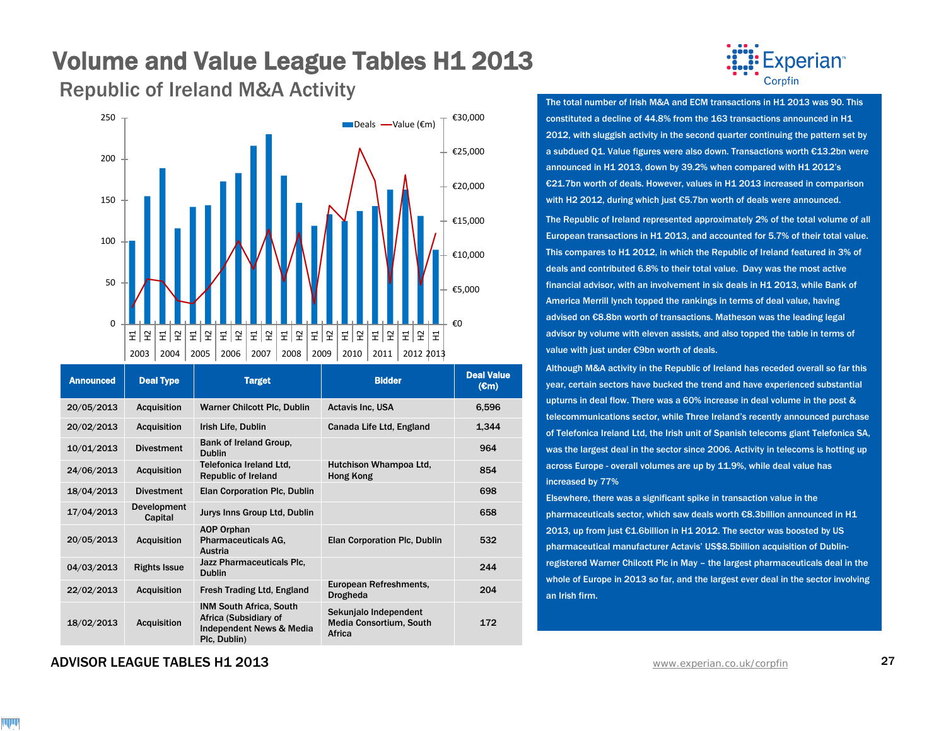# **Volume and Value League Tables H1 2013**<br>Republic of Ireland M&A Activity **Republic of Ireland M&A Activity**



| <b>Announced</b> | <b>Deal Type</b>              | <b>Target</b>                                                                                       | <b>Bidder</b>                                                     | <b>Deal Value</b><br>$(\mathbf{cm})$ |
|------------------|-------------------------------|-----------------------------------------------------------------------------------------------------|-------------------------------------------------------------------|--------------------------------------|
| 20/05/2013       | <b>Acquisition</b>            | <b>Warner Chilcott Plc, Dublin</b>                                                                  | <b>Actavis Inc. USA</b>                                           | 6,596                                |
| 20/02/2013       | <b>Acquisition</b>            | Irish Life, Dublin                                                                                  | Canada Life Ltd, England                                          | 1,344                                |
| 10/01/2013       | <b>Divestment</b>             | Bank of Ireland Group,<br><b>Dublin</b>                                                             |                                                                   | 964                                  |
| 24/06/2013       | <b>Acquisition</b>            | Telefonica Ireland Ltd.<br><b>Republic of Ireland</b>                                               | Hutchison Whampoa Ltd.<br>Hong Kong                               | 854                                  |
| 18/04/2013       | <b>Divestment</b>             | Elan Corporation Plc, Dublin                                                                        |                                                                   | 698                                  |
| 17/04/2013       | <b>Development</b><br>Capital | Jurys Inns Group Ltd, Dublin                                                                        |                                                                   | 658                                  |
| 20/05/2013       | <b>Acquisition</b>            | <b>AOP Orphan</b><br><b>Pharmaceuticals AG.</b><br>Austria                                          | <b>Elan Corporation Plc, Dublin</b>                               | 532                                  |
| 04/03/2013       | <b>Rights Issue</b>           | Jazz Pharmaceuticals Plc,<br><b>Dublin</b>                                                          |                                                                   | 244                                  |
| 22/02/2013       | <b>Acquisition</b>            | <b>Fresh Trading Ltd, England</b>                                                                   | European Refreshments,<br><b>Drogheda</b>                         | 204                                  |
| 18/02/2013       | <b>Acquisition</b>            | <b>INM South Africa, South</b><br>Africa (Subsidiary of<br>Independent News & Media<br>Plc, Dublin) | Sekunjalo Independent<br><b>Media Consortium, South</b><br>Africa | 172                                  |



constituted a decline of 44.8% from the 163 transactions announced in H1 2012, with sluggish activity in the second quarter continuing the pattern set by a subdued Q1. Value figures were also down. Transactions worth €13.2bn were announced in H1 2013, down by 39.2% when compared with H1 2012's €21.7bn worth of deals. However, values in H1 2013 increased in comparison with H2 2012, during which just €5.7bn worth of deals were announced.

The Republic of Ireland represented approximately 2% of the total volume of all European transactions in H1 2013, and accounted for 5.7% of their total value. This compares to H1 2012, in which the Republic of Ireland featured in 3% of deals and contributed 6.8% to their total value. Davy was the most active financial advisor, with an involvement in six deals in H1 2013, while Bank of America Merrill lynch topped the rankings in terms of deal value, having advised on €8.8bn worth of transactions. Matheson was the leading legal advisor by volume with eleven assists, and also topped the table in terms of value with just under €9bn worth of deals.

Although M&A activity in the Republic of Ireland has receded overall so far this year, certain sectors have bucked the trend and have experienced substantial upturns in deal flow. There was a 60% increase in deal volume in the post & telecommunications sector, while Three Ireland's recently announced purchase of Telefonica Ireland Ltd, the Irish unit of Spanish telecoms giant Telefonica SA, was the largest deal in the sector since 2006. Activity in telecoms is hotting up across Europe - overall volumes are up by 11.9%, while deal value has increased by 77%

Elsewhere, there was a significant spike in transaction value in the pharmaceuticals sector, which saw deals worth €8.3billion announced in H1 2013, up from just €1.6billion in H1 2012. The sector was boosted by US pharmaceutical manufacturer Actavis' US\$8.5billion acquisition of Dublinregistered Warner Chilcott Plc in May – the largest pharmaceuticals deal in the whole of Europe in 2013 so far, and the largest ever deal in the sector involving an Irish firm.

ADVISOR LEAGUE TABLES H1 2013 [www.experian.co.uk/corpfin](http://www.experian.co.uk/corpfin) 27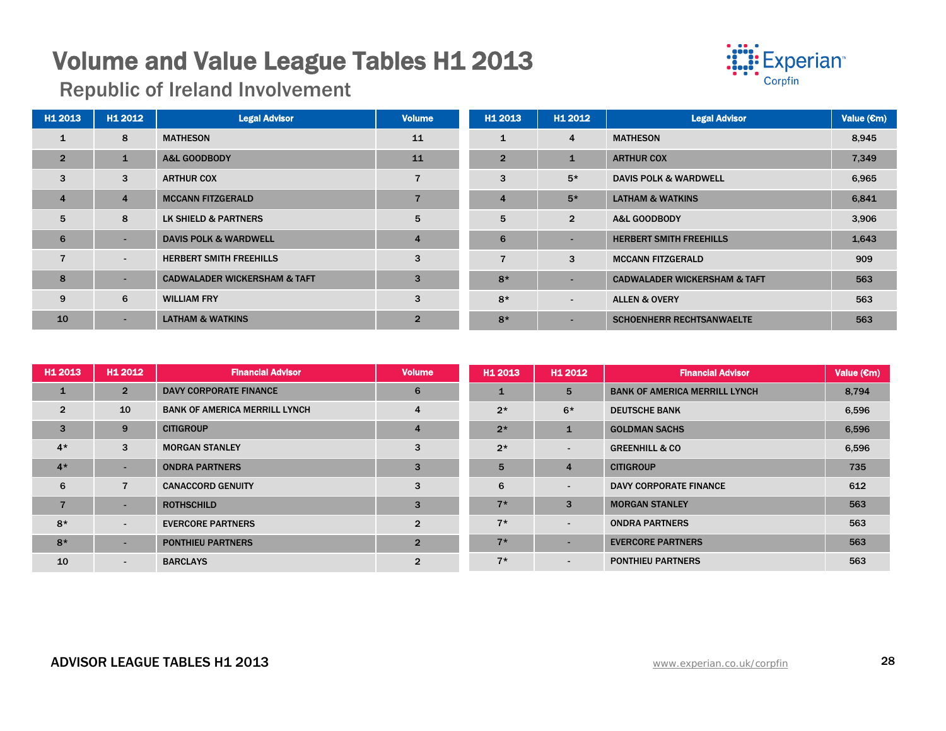# **Volume and Value League Tables H1 2013**<br>Republic of Ireland Involvement



| H1 2013        | H1 2012        | <b>Legal Advisor</b>                    | <b>Volume</b>  | H1 2013        | H1 2012                  | <b>Legal Advisor</b>                    | Value $(\epsilon m)$ |
|----------------|----------------|-----------------------------------------|----------------|----------------|--------------------------|-----------------------------------------|----------------------|
| $\mathbf{1}$   | 8              | <b>MATHESON</b>                         | 11             | $\mathbf{1}$   | $\overline{4}$           | <b>MATHESON</b>                         | 8,945                |
| $\overline{2}$ | 1              | <b>A&amp;L GOODBODY</b>                 | 11             | $\overline{2}$ | $\mathbf{1}$             | <b>ARTHUR COX</b>                       | 7,349                |
| 3              | 3              | <b>ARTHUR COX</b>                       |                | 3              | $5*$                     | <b>DAVIS POLK &amp; WARDWELL</b>        | 6,965                |
| $\overline{4}$ | $\overline{4}$ | <b>MCCANN FITZGERALD</b>                |                | $\overline{4}$ | $5*$                     | <b>LATHAM &amp; WATKINS</b>             | 6,841                |
| 5              | 8              | LK SHIELD & PARTNERS                    | 5              | 5              | $\overline{2}$           | A&L GOODBODY                            | 3,906                |
| 6              | ٠              | <b>DAVIS POLK &amp; WARDWELL</b>        | $\overline{4}$ | 6              | $\overline{\phantom{0}}$ | <b>HERBERT SMITH FREEHILLS</b>          | 1,643                |
| $\overline{7}$ | $\blacksquare$ | <b>HERBERT SMITH FREEHILLS</b>          | 3              |                | 3                        | <b>MCCANN FITZGERALD</b>                | 909                  |
| 8              | ۰              | <b>CADWALADER WICKERSHAM &amp; TAFT</b> | 3              | $8*$           | $\overline{\phantom{0}}$ | <b>CADWALADER WICKERSHAM &amp; TAFT</b> | 563                  |
| 9              | 6              | <b>WILLIAM FRY</b>                      | 3              | $8*$           | $\blacksquare$           | <b>ALLEN &amp; OVERY</b>                | 563                  |
| 10             |                | <b>LATHAM &amp; WATKINS</b>             | $\overline{2}$ | $8*$           | $\overline{\phantom{a}}$ | <b>SCHOENHERR RECHTSANWAELTE</b>        | 563                  |

| H1 2013        | H1 2012                  | <b>Financial Advisor</b>             | <b>Volume</b>  | H <sub>1</sub> 2013 | H1 2012                  | <b>Financial Advisor</b>             | Value $(\epsilon m)$ |
|----------------|--------------------------|--------------------------------------|----------------|---------------------|--------------------------|--------------------------------------|----------------------|
| $\mathbf{1}$   | $\overline{2}$           | <b>DAVY CORPORATE FINANCE</b>        | 6              |                     | 5                        | <b>BANK OF AMERICA MERRILL LYNCH</b> | 8,794                |
| $\overline{2}$ | 10                       | <b>BANK OF AMERICA MERRILL LYNCH</b> | 4              | $2*$                | $6*$                     | <b>DEUTSCHE BANK</b>                 | 6,596                |
| $\mathbf{3}$   | 9                        | <b>CITIGROUP</b>                     | $\overline{4}$ | $2*$                | 1                        | <b>GOLDMAN SACHS</b>                 | 6,596                |
| $4*$           | 3                        | <b>MORGAN STANLEY</b>                | 3              | $2*$                | $\blacksquare$           | <b>GREENHILL &amp; CO</b>            | 6,596                |
| $4*$           | ۰                        | <b>ONDRA PARTNERS</b>                | 3              | 5                   | $\overline{4}$           | <b>CITIGROUP</b>                     | 735                  |
| 6              | $\overline{7}$           | <b>CANACCORD GENUITY</b>             | 3              | 6                   | $\blacksquare$           | DAVY CORPORATE FINANCE               | 612                  |
| $\overline{7}$ | $\overline{\phantom{a}}$ | <b>ROTHSCHILD</b>                    | 3              | $7*$                | 3                        | <b>MORGAN STANLEY</b>                | 563                  |
| $8*$           | $\blacksquare$           | <b>EVERCORE PARTNERS</b>             | $\overline{2}$ | $7*$                | $\sim$                   | <b>ONDRA PARTNERS</b>                | 563                  |
| $8*$           | ۰                        | <b>PONTHIEU PARTNERS</b>             | $\overline{2}$ | $7*$                |                          | <b>EVERCORE PARTNERS</b>             | 563                  |
| 10             | $\blacksquare$           | <b>BARCLAYS</b>                      | $\overline{2}$ | $7*$                | $\overline{\phantom{a}}$ | <b>PONTHIEU PARTNERS</b>             | 563                  |

### ADVISOR LEAGUE TABLES H1 2013 28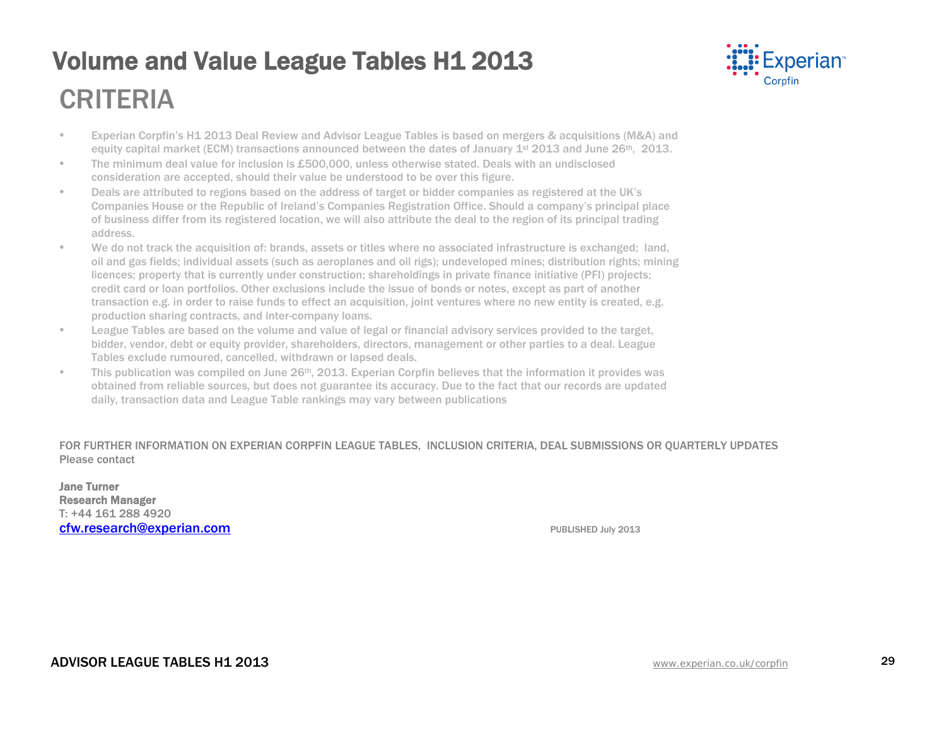## **Volume and Value League Tables H1 2013** CRITERIA



- Experian Corpfin's H1 2013 Deal Review and Advisor League Tables is based on mergers & acquisitions (M&A) and equity capital market (ECM) transactions announced between the dates of January 1st 2013 and June 26th, 2013.
- The minimum deal value for inclusion is £500,000, unless otherwise stated. Deals with an undisclosed consideration are accepted, should their value be understood to be over this figure.
- Deals are attributed to regions based on the address of target or bidder companies as registered at the UK's Companies House or the Republic of Ireland's Companies Registration Office. Should a company's principal place of business differ from its registered location, we will also attribute the deal to the region of its principal trading address.
- We do not track the acquisition of: brands, assets or titles where no associated infrastructure is exchanged; land, oil and gas fields; individual assets (such as aeroplanes and oil rigs); undeveloped mines; distribution rights; mining licences; property that is currently under construction; shareholdings in private finance initiative (PFI) projects; credit card or loan portfolios. Other exclusions include the issue of bonds or notes, except as part of another transaction e.g. in order to raise funds to effect an acquisition, joint ventures where no new entity is created, e.g. production sharing contracts, and inter-company loans.
- League Tables are based on the volume and value of legal or financial advisory services provided to the target, bidder, vendor, debt or equity provider, shareholders, directors, management or other parties to a deal. League Tables exclude rumoured, cancelled, withdrawn or lapsed deals.
- This publication was compiled on June 26<sup>th</sup>, 2013. Experian Corpfin believes that the information it provides was obtained from reliable sources, but does not guarantee its accuracy. Due to the fact that our records are updated daily, transaction data and League Table rankings may vary between publications

FOR FURTHER INFORMATION ON EXPERIAN CORPFIN LEAGUE TABLES, INCLUSION CRITERIA, DEAL SUBMISSIONS OR QUARTERLY UPDATES Please contact

Jane Turner Research Manager T: +44 161 288 4920 [cfw.research@experian.com](mailto:cfw.research@experian.com) **PUBLISHED July 2013**